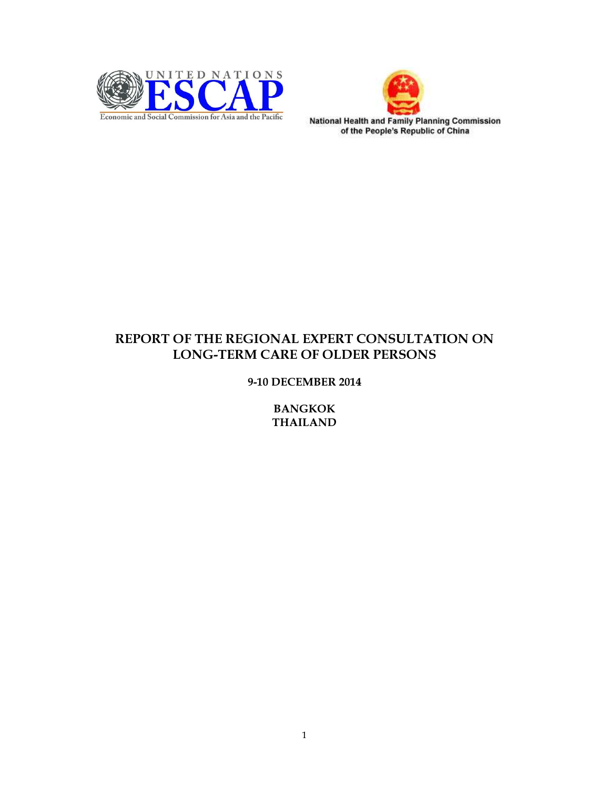



# REPORT OF THE REGIONAL EXPERT CONSULTATION ON LONG-TERM CARE OF OLDER PERSONS

## 9-10 DECEMBER 2014

BANGKOK THAILAND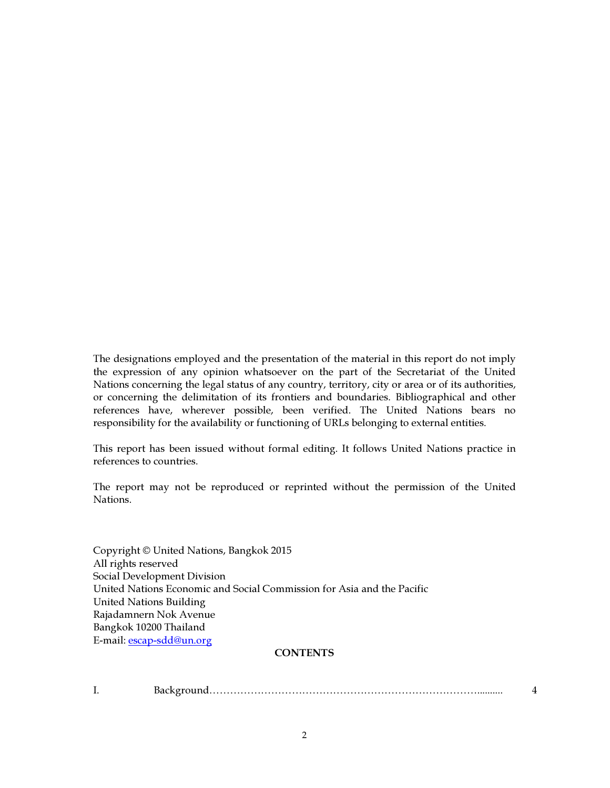The designations employed and the presentation of the material in this report do not imply the expression of any opinion whatsoever on the part of the Secretariat of the United Nations concerning the legal status of any country, territory, city or area or of its authorities, or concerning the delimitation of its frontiers and boundaries. Bibliographical and other references have, wherever possible, been verified. The United Nations bears no responsibility for the availability or functioning of URLs belonging to external entities.

This report has been issued without formal editing. It follows United Nations practice in references to countries.

The report may not be reproduced or reprinted without the permission of the United Nations.

Copyright © United Nations, Bangkok 2015 All rights reserved Social Development Division United Nations Economic and Social Commission for Asia and the Pacific United Nations Building Rajadamnern Nok Avenue Bangkok 10200 Thailand E-mail: escap-sdd@un.org

## **CONTENTS**

I. Background…………………………………………………………………….......... 4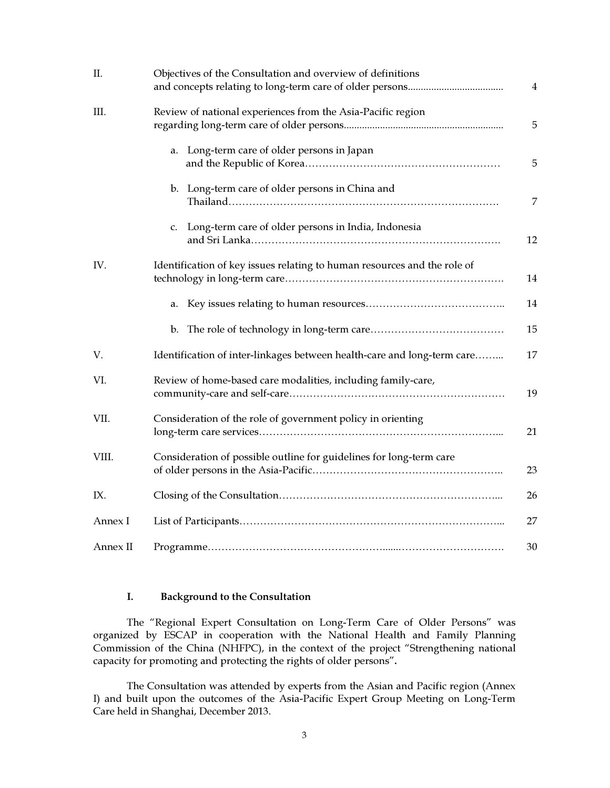| II.      | Objectives of the Consultation and overview of definitions               |                |
|----------|--------------------------------------------------------------------------|----------------|
|          |                                                                          | $\overline{4}$ |
| III.     | Review of national experiences from the Asia-Pacific region              | $\sqrt{5}$     |
|          | a. Long-term care of older persons in Japan                              | 5              |
|          | b. Long-term care of older persons in China and                          | 7              |
|          | c. Long-term care of older persons in India, Indonesia                   | 12             |
| IV.      | Identification of key issues relating to human resources and the role of | 14             |
|          |                                                                          | 14             |
|          |                                                                          | 15             |
| V.       | Identification of inter-linkages between health-care and long-term care  | 17             |
| VI.      | Review of home-based care modalities, including family-care,             | 19             |
| VII.     | Consideration of the role of government policy in orienting              | 21             |
| VIII.    | Consideration of possible outline for guidelines for long-term care      | 23             |
| IX.      |                                                                          | 26             |
| Annex I  |                                                                          | 27             |
| Annex II |                                                                          | 30             |

## I. Background to the Consultation

The "Regional Expert Consultation on Long-Term Care of Older Persons" was organized by ESCAP in cooperation with the National Health and Family Planning Commission of the China (NHFPC), in the context of the project "Strengthening national capacity for promoting and protecting the rights of older persons".

The Consultation was attended by experts from the Asian and Pacific region (Annex I) and built upon the outcomes of the Asia-Pacific Expert Group Meeting on Long-Term Care held in Shanghai, December 2013.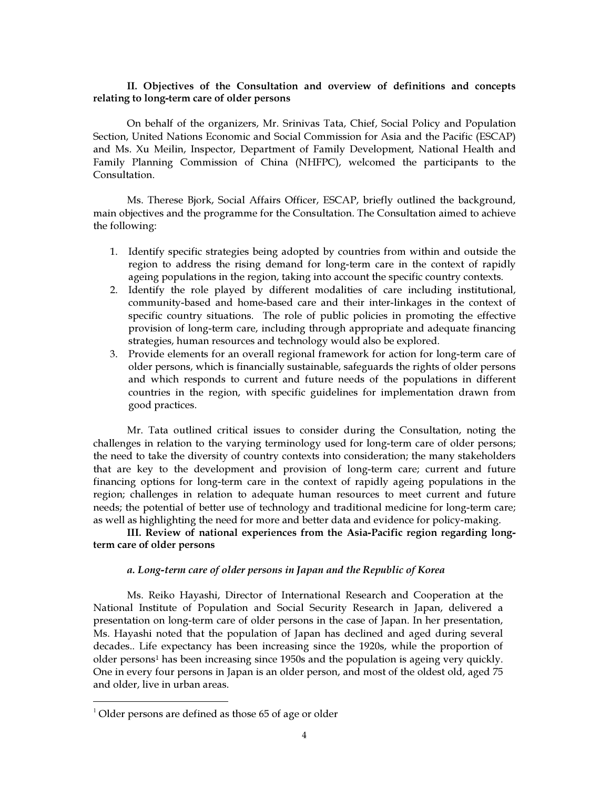### II. Objectives of the Consultation and overview of definitions and concepts relating to long-term care of older persons

On behalf of the organizers, Mr. Srinivas Tata, Chief, Social Policy and Population Section, United Nations Economic and Social Commission for Asia and the Pacific (ESCAP) and Ms. Xu Meilin, Inspector, Department of Family Development, National Health and Family Planning Commission of China (NHFPC), welcomed the participants to the Consultation.

Ms. Therese Bjork, Social Affairs Officer, ESCAP, briefly outlined the background, main objectives and the programme for the Consultation. The Consultation aimed to achieve the following:

- 1. Identify specific strategies being adopted by countries from within and outside the region to address the rising demand for long-term care in the context of rapidly ageing populations in the region, taking into account the specific country contexts.
- 2. Identify the role played by different modalities of care including institutional, community-based and home-based care and their inter-linkages in the context of specific country situations. The role of public policies in promoting the effective provision of long-term care, including through appropriate and adequate financing strategies, human resources and technology would also be explored.
- 3. Provide elements for an overall regional framework for action for long-term care of older persons, which is financially sustainable, safeguards the rights of older persons and which responds to current and future needs of the populations in different countries in the region, with specific guidelines for implementation drawn from good practices.

Mr. Tata outlined critical issues to consider during the Consultation, noting the challenges in relation to the varying terminology used for long-term care of older persons; the need to take the diversity of country contexts into consideration; the many stakeholders that are key to the development and provision of long-term care; current and future financing options for long-term care in the context of rapidly ageing populations in the region; challenges in relation to adequate human resources to meet current and future needs; the potential of better use of technology and traditional medicine for long-term care; as well as highlighting the need for more and better data and evidence for policy-making.

III. Review of national experiences from the Asia-Pacific region regarding longterm care of older persons

### a. Long-term care of older persons in Japan and the Republic of Korea

Ms. Reiko Hayashi, Director of International Research and Cooperation at the National Institute of Population and Social Security Research in Japan, delivered a presentation on long-term care of older persons in the case of Japan. In her presentation, Ms. Hayashi noted that the population of Japan has declined and aged during several decades.. Life expectancy has been increasing since the 1920s, while the proportion of older persons<sup>1</sup> has been increasing since 1950s and the population is ageing very quickly. One in every four persons in Japan is an older person, and most of the oldest old, aged 75 and older, live in urban areas.

 $\overline{a}$ 

 $1$  Older persons are defined as those 65 of age or older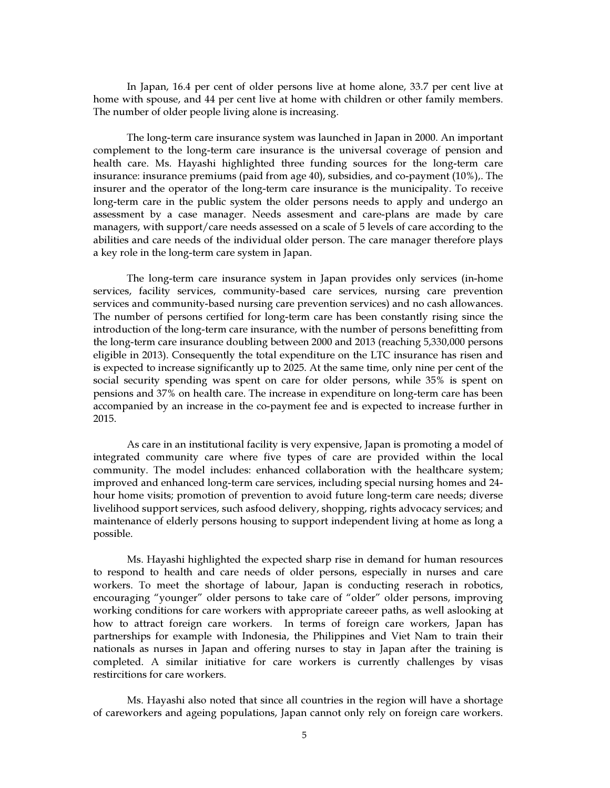In Japan, 16.4 per cent of older persons live at home alone, 33.7 per cent live at home with spouse, and 44 per cent live at home with children or other family members. The number of older people living alone is increasing.

The long-term care insurance system was launched in Japan in 2000. An important complement to the long-term care insurance is the universal coverage of pension and health care. Ms. Hayashi highlighted three funding sources for the long-term care insurance: insurance premiums (paid from age 40), subsidies, and co-payment (10%),. The insurer and the operator of the long-term care insurance is the municipality. To receive long-term care in the public system the older persons needs to apply and undergo an assessment by a case manager. Needs assesment and care-plans are made by care managers, with support/care needs assessed on a scale of 5 levels of care according to the abilities and care needs of the individual older person. The care manager therefore plays a key role in the long-term care system in Japan.

The long-term care insurance system in Japan provides only services (in-home services, facility services, community-based care services, nursing care prevention services and community-based nursing care prevention services) and no cash allowances. The number of persons certified for long-term care has been constantly rising since the introduction of the long-term care insurance, with the number of persons benefitting from the long-term care insurance doubling between 2000 and 2013 (reaching 5,330,000 persons eligible in 2013). Consequently the total expenditure on the LTC insurance has risen and is expected to increase significantly up to 2025. At the same time, only nine per cent of the social security spending was spent on care for older persons, while 35% is spent on pensions and 37% on health care. The increase in expenditure on long-term care has been accompanied by an increase in the co-payment fee and is expected to increase further in 2015.

As care in an institutional facility is very expensive, Japan is promoting a model of integrated community care where five types of care are provided within the local community. The model includes: enhanced collaboration with the healthcare system; improved and enhanced long-term care services, including special nursing homes and 24 hour home visits; promotion of prevention to avoid future long-term care needs; diverse livelihood support services, such asfood delivery, shopping, rights advocacy services; and maintenance of elderly persons housing to support independent living at home as long a possible.

Ms. Hayashi highlighted the expected sharp rise in demand for human resources to respond to health and care needs of older persons, especially in nurses and care workers. To meet the shortage of labour, Japan is conducting reserach in robotics, encouraging "younger" older persons to take care of "older" older persons, improving working conditions for care workers with appropriate careeer paths, as well aslooking at how to attract foreign care workers. In terms of foreign care workers, Japan has partnerships for example with Indonesia, the Philippines and Viet Nam to train their nationals as nurses in Japan and offering nurses to stay in Japan after the training is completed. A similar initiative for care workers is currently challenges by visas restircitions for care workers.

Ms. Hayashi also noted that since all countries in the region will have a shortage of careworkers and ageing populations, Japan cannot only rely on foreign care workers.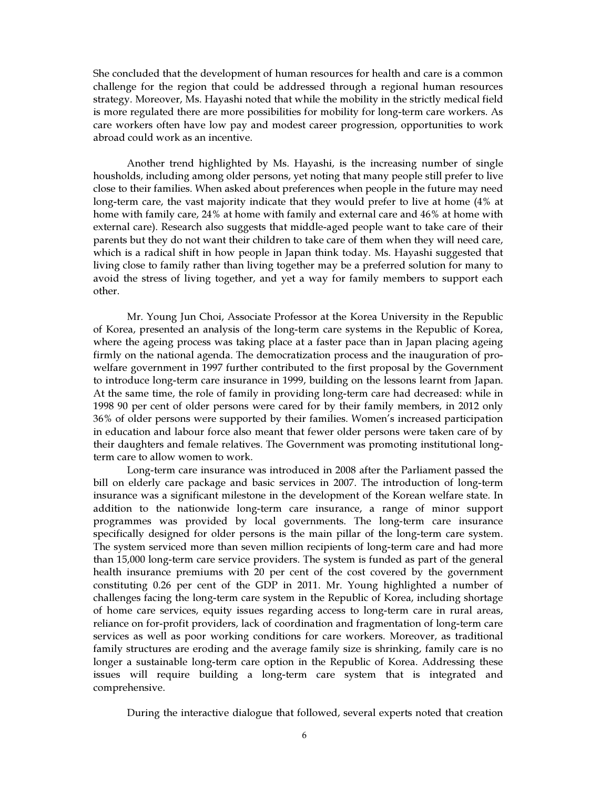She concluded that the development of human resources for health and care is a common challenge for the region that could be addressed through a regional human resources strategy. Moreover, Ms. Hayashi noted that while the mobility in the strictly medical field is more regulated there are more possibilities for mobility for long-term care workers. As care workers often have low pay and modest career progression, opportunities to work abroad could work as an incentive.

Another trend highlighted by Ms. Hayashi, is the increasing number of single housholds, including among older persons, yet noting that many people still prefer to live close to their families. When asked about preferences when people in the future may need long-term care, the vast majority indicate that they would prefer to live at home (4% at home with family care, 24% at home with family and external care and 46% at home with external care). Research also suggests that middle-aged people want to take care of their parents but they do not want their children to take care of them when they will need care, which is a radical shift in how people in Japan think today. Ms. Hayashi suggested that living close to family rather than living together may be a preferred solution for many to avoid the stress of living together, and yet a way for family members to support each other.

Mr. Young Jun Choi, Associate Professor at the Korea University in the Republic of Korea, presented an analysis of the long-term care systems in the Republic of Korea, where the ageing process was taking place at a faster pace than in Japan placing ageing firmly on the national agenda. The democratization process and the inauguration of prowelfare government in 1997 further contributed to the first proposal by the Government to introduce long-term care insurance in 1999, building on the lessons learnt from Japan. At the same time, the role of family in providing long-term care had decreased: while in 1998 90 per cent of older persons were cared for by their family members, in 2012 only 36% of older persons were supported by their families. Women's increased participation in education and labour force also meant that fewer older persons were taken care of by their daughters and female relatives. The Government was promoting institutional longterm care to allow women to work.

Long-term care insurance was introduced in 2008 after the Parliament passed the bill on elderly care package and basic services in 2007. The introduction of long-term insurance was a significant milestone in the development of the Korean welfare state. In addition to the nationwide long-term care insurance, a range of minor support programmes was provided by local governments. The long-term care insurance specifically designed for older persons is the main pillar of the long-term care system. The system serviced more than seven million recipients of long-term care and had more than 15,000 long-term care service providers. The system is funded as part of the general health insurance premiums with 20 per cent of the cost covered by the government constituting 0.26 per cent of the GDP in 2011. Mr. Young highlighted a number of challenges facing the long-term care system in the Republic of Korea, including shortage of home care services, equity issues regarding access to long-term care in rural areas, reliance on for-profit providers, lack of coordination and fragmentation of long-term care services as well as poor working conditions for care workers. Moreover, as traditional family structures are eroding and the average family size is shrinking, family care is no longer a sustainable long-term care option in the Republic of Korea. Addressing these issues will require building a long-term care system that is integrated and comprehensive.

During the interactive dialogue that followed, several experts noted that creation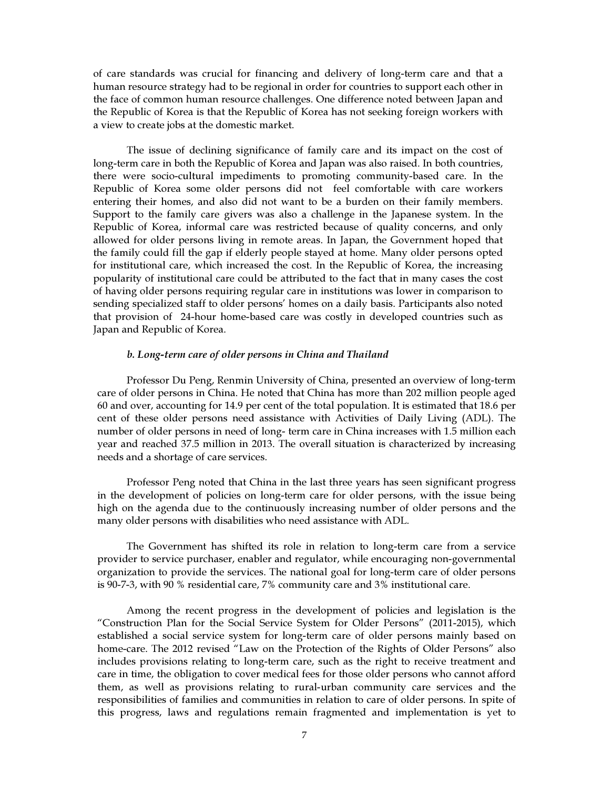of care standards was crucial for financing and delivery of long-term care and that a human resource strategy had to be regional in order for countries to support each other in the face of common human resource challenges. One difference noted between Japan and the Republic of Korea is that the Republic of Korea has not seeking foreign workers with a view to create jobs at the domestic market.

The issue of declining significance of family care and its impact on the cost of long-term care in both the Republic of Korea and Japan was also raised. In both countries, there were socio-cultural impediments to promoting community-based care. In the Republic of Korea some older persons did not feel comfortable with care workers entering their homes, and also did not want to be a burden on their family members. Support to the family care givers was also a challenge in the Japanese system. In the Republic of Korea, informal care was restricted because of quality concerns, and only allowed for older persons living in remote areas. In Japan, the Government hoped that the family could fill the gap if elderly people stayed at home. Many older persons opted for institutional care, which increased the cost. In the Republic of Korea, the increasing popularity of institutional care could be attributed to the fact that in many cases the cost of having older persons requiring regular care in institutions was lower in comparison to sending specialized staff to older persons' homes on a daily basis. Participants also noted that provision of 24-hour home-based care was costly in developed countries such as Japan and Republic of Korea.

#### b. Long-term care of older persons in China and Thailand

Professor Du Peng, Renmin University of China, presented an overview of long-term care of older persons in China. He noted that China has more than 202 million people aged 60 and over, accounting for 14.9 per cent of the total population. It is estimated that 18.6 per cent of these older persons need assistance with Activities of Daily Living (ADL). The number of older persons in need of long- term care in China increases with 1.5 million each year and reached 37.5 million in 2013. The overall situation is characterized by increasing needs and a shortage of care services.

Professor Peng noted that China in the last three years has seen significant progress in the development of policies on long-term care for older persons, with the issue being high on the agenda due to the continuously increasing number of older persons and the many older persons with disabilities who need assistance with ADL.

The Government has shifted its role in relation to long-term care from a service provider to service purchaser, enabler and regulator, while encouraging non-governmental organization to provide the services. The national goal for long-term care of older persons is 90-7-3, with 90 % residential care, 7% community care and 3% institutional care.

Among the recent progress in the development of policies and legislation is the "Construction Plan for the Social Service System for Older Persons" (2011-2015), which established a social service system for long-term care of older persons mainly based on home-care. The 2012 revised "Law on the Protection of the Rights of Older Persons" also includes provisions relating to long-term care, such as the right to receive treatment and care in time, the obligation to cover medical fees for those older persons who cannot afford them, as well as provisions relating to rural-urban community care services and the responsibilities of families and communities in relation to care of older persons. In spite of this progress, laws and regulations remain fragmented and implementation is yet to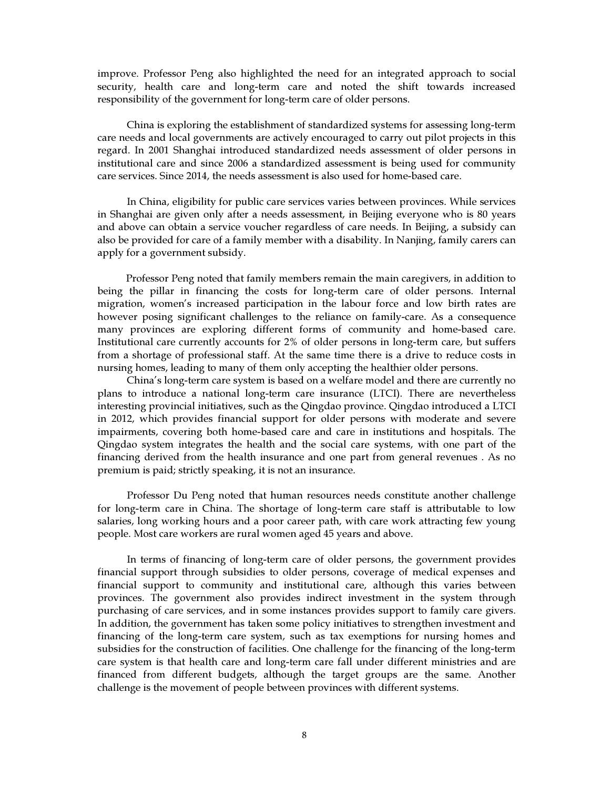improve. Professor Peng also highlighted the need for an integrated approach to social security, health care and long-term care and noted the shift towards increased responsibility of the government for long-term care of older persons.

China is exploring the establishment of standardized systems for assessing long-term care needs and local governments are actively encouraged to carry out pilot projects in this regard. In 2001 Shanghai introduced standardized needs assessment of older persons in institutional care and since 2006 a standardized assessment is being used for community care services. Since 2014, the needs assessment is also used for home-based care.

In China, eligibility for public care services varies between provinces. While services in Shanghai are given only after a needs assessment, in Beijing everyone who is 80 years and above can obtain a service voucher regardless of care needs. In Beijing, a subsidy can also be provided for care of a family member with a disability. In Nanjing, family carers can apply for a government subsidy.

Professor Peng noted that family members remain the main caregivers, in addition to being the pillar in financing the costs for long-term care of older persons. Internal migration, women's increased participation in the labour force and low birth rates are however posing significant challenges to the reliance on family-care. As a consequence many provinces are exploring different forms of community and home-based care. Institutional care currently accounts for 2% of older persons in long-term care, but suffers from a shortage of professional staff. At the same time there is a drive to reduce costs in nursing homes, leading to many of them only accepting the healthier older persons.

China's long-term care system is based on a welfare model and there are currently no plans to introduce a national long-term care insurance (LTCI). There are nevertheless interesting provincial initiatives, such as the Qingdao province. Qingdao introduced a LTCI in 2012, which provides financial support for older persons with moderate and severe impairments, covering both home-based care and care in institutions and hospitals. The Qingdao system integrates the health and the social care systems, with one part of the financing derived from the health insurance and one part from general revenues . As no premium is paid; strictly speaking, it is not an insurance.

Professor Du Peng noted that human resources needs constitute another challenge for long-term care in China. The shortage of long-term care staff is attributable to low salaries, long working hours and a poor career path, with care work attracting few young people. Most care workers are rural women aged 45 years and above.

In terms of financing of long-term care of older persons, the government provides financial support through subsidies to older persons, coverage of medical expenses and financial support to community and institutional care, although this varies between provinces. The government also provides indirect investment in the system through purchasing of care services, and in some instances provides support to family care givers. In addition, the government has taken some policy initiatives to strengthen investment and financing of the long-term care system, such as tax exemptions for nursing homes and subsidies for the construction of facilities. One challenge for the financing of the long-term care system is that health care and long-term care fall under different ministries and are financed from different budgets, although the target groups are the same. Another challenge is the movement of people between provinces with different systems.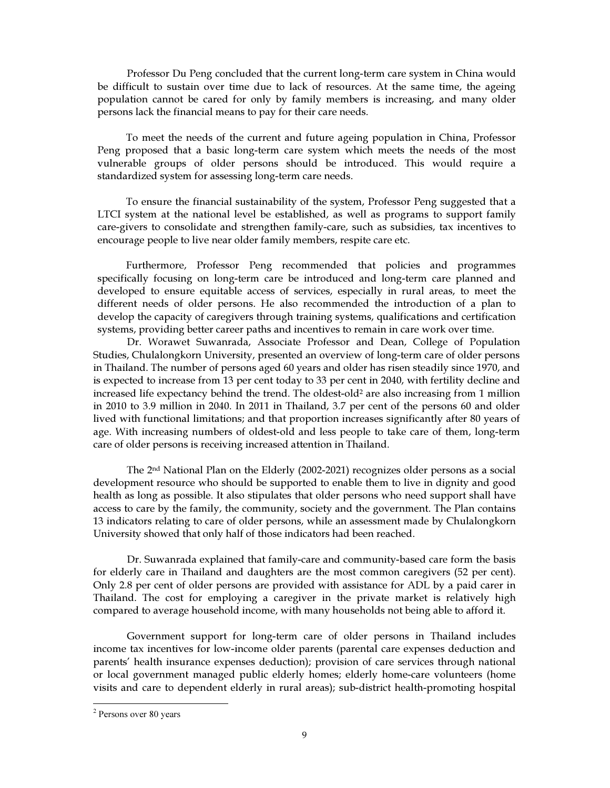Professor Du Peng concluded that the current long-term care system in China would be difficult to sustain over time due to lack of resources. At the same time, the ageing population cannot be cared for only by family members is increasing, and many older persons lack the financial means to pay for their care needs.

To meet the needs of the current and future ageing population in China, Professor Peng proposed that a basic long-term care system which meets the needs of the most vulnerable groups of older persons should be introduced. This would require a standardized system for assessing long-term care needs.

To ensure the financial sustainability of the system, Professor Peng suggested that a LTCI system at the national level be established, as well as programs to support family care-givers to consolidate and strengthen family-care, such as subsidies, tax incentives to encourage people to live near older family members, respite care etc.

Furthermore, Professor Peng recommended that policies and programmes specifically focusing on long-term care be introduced and long-term care planned and developed to ensure equitable access of services, especially in rural areas, to meet the different needs of older persons. He also recommended the introduction of a plan to develop the capacity of caregivers through training systems, qualifications and certification systems, providing better career paths and incentives to remain in care work over time.

Dr. Worawet Suwanrada, Associate Professor and Dean, College of Population Studies, Chulalongkorn University, presented an overview of long-term care of older persons in Thailand. The number of persons aged 60 years and older has risen steadily since 1970, and is expected to increase from 13 per cent today to 33 per cent in 2040, with fertility decline and increased life expectancy behind the trend. The oldest-old<sup>2</sup> are also increasing from 1 million in 2010 to 3.9 million in 2040. In 2011 in Thailand, 3.7 per cent of the persons 60 and older lived with functional limitations; and that proportion increases significantly after 80 years of age. With increasing numbers of oldest-old and less people to take care of them, long-term care of older persons is receiving increased attention in Thailand.

The 2nd National Plan on the Elderly (2002-2021) recognizes older persons as a social development resource who should be supported to enable them to live in dignity and good health as long as possible. It also stipulates that older persons who need support shall have access to care by the family, the community, society and the government. The Plan contains 13 indicators relating to care of older persons, while an assessment made by Chulalongkorn University showed that only half of those indicators had been reached.

Dr. Suwanrada explained that family-care and community-based care form the basis for elderly care in Thailand and daughters are the most common caregivers (52 per cent). Only 2.8 per cent of older persons are provided with assistance for ADL by a paid carer in Thailand. The cost for employing a caregiver in the private market is relatively high compared to average household income, with many households not being able to afford it.

Government support for long-term care of older persons in Thailand includes income tax incentives for low-income older parents (parental care expenses deduction and parents' health insurance expenses deduction); provision of care services through national or local government managed public elderly homes; elderly home-care volunteers (home visits and care to dependent elderly in rural areas); sub-district health-promoting hospital

 $\overline{a}$ 

<sup>2</sup> Persons over 80 years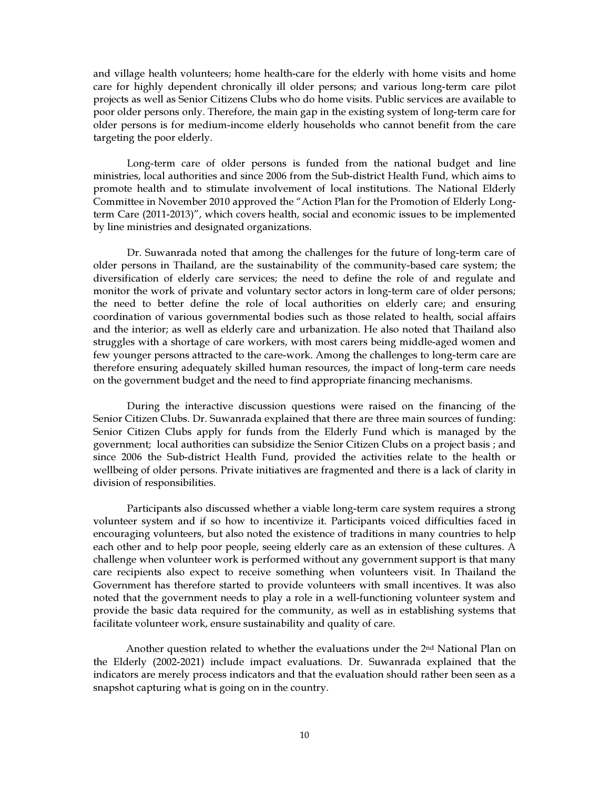and village health volunteers; home health-care for the elderly with home visits and home care for highly dependent chronically ill older persons; and various long-term care pilot projects as well as Senior Citizens Clubs who do home visits. Public services are available to poor older persons only. Therefore, the main gap in the existing system of long-term care for older persons is for medium-income elderly households who cannot benefit from the care targeting the poor elderly.

Long-term care of older persons is funded from the national budget and line ministries, local authorities and since 2006 from the Sub-district Health Fund, which aims to promote health and to stimulate involvement of local institutions. The National Elderly Committee in November 2010 approved the "Action Plan for the Promotion of Elderly Longterm Care (2011-2013)", which covers health, social and economic issues to be implemented by line ministries and designated organizations.

Dr. Suwanrada noted that among the challenges for the future of long-term care of older persons in Thailand, are the sustainability of the community-based care system; the diversification of elderly care services; the need to define the role of and regulate and monitor the work of private and voluntary sector actors in long-term care of older persons; the need to better define the role of local authorities on elderly care; and ensuring coordination of various governmental bodies such as those related to health, social affairs and the interior; as well as elderly care and urbanization. He also noted that Thailand also struggles with a shortage of care workers, with most carers being middle-aged women and few younger persons attracted to the care-work. Among the challenges to long-term care are therefore ensuring adequately skilled human resources, the impact of long-term care needs on the government budget and the need to find appropriate financing mechanisms.

During the interactive discussion questions were raised on the financing of the Senior Citizen Clubs. Dr. Suwanrada explained that there are three main sources of funding: Senior Citizen Clubs apply for funds from the Elderly Fund which is managed by the government; local authorities can subsidize the Senior Citizen Clubs on a project basis ; and since 2006 the Sub-district Health Fund, provided the activities relate to the health or wellbeing of older persons. Private initiatives are fragmented and there is a lack of clarity in division of responsibilities.

Participants also discussed whether a viable long-term care system requires a strong volunteer system and if so how to incentivize it. Participants voiced difficulties faced in encouraging volunteers, but also noted the existence of traditions in many countries to help each other and to help poor people, seeing elderly care as an extension of these cultures. A challenge when volunteer work is performed without any government support is that many care recipients also expect to receive something when volunteers visit. In Thailand the Government has therefore started to provide volunteers with small incentives. It was also noted that the government needs to play a role in a well-functioning volunteer system and provide the basic data required for the community, as well as in establishing systems that facilitate volunteer work, ensure sustainability and quality of care.

Another question related to whether the evaluations under the 2nd National Plan on the Elderly (2002-2021) include impact evaluations. Dr. Suwanrada explained that the indicators are merely process indicators and that the evaluation should rather been seen as a snapshot capturing what is going on in the country.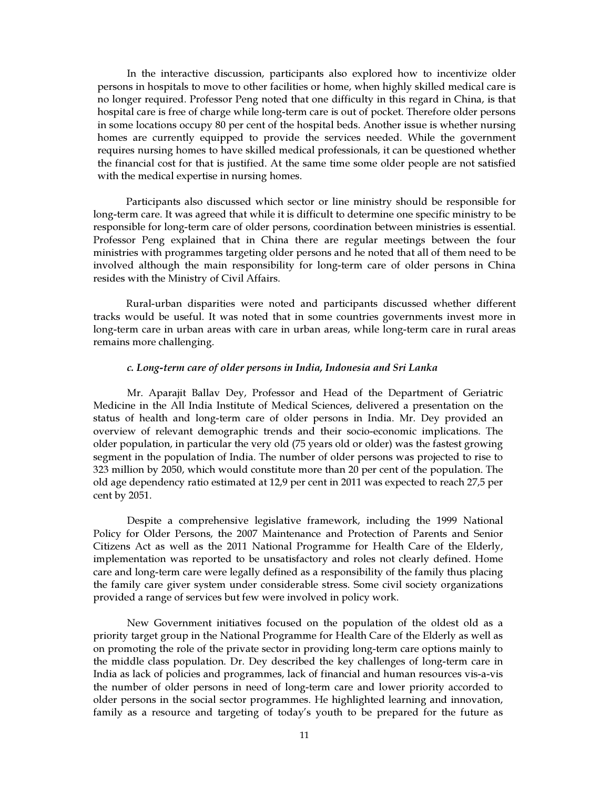In the interactive discussion, participants also explored how to incentivize older persons in hospitals to move to other facilities or home, when highly skilled medical care is no longer required. Professor Peng noted that one difficulty in this regard in China, is that hospital care is free of charge while long-term care is out of pocket. Therefore older persons in some locations occupy 80 per cent of the hospital beds. Another issue is whether nursing homes are currently equipped to provide the services needed. While the government requires nursing homes to have skilled medical professionals, it can be questioned whether the financial cost for that is justified. At the same time some older people are not satisfied with the medical expertise in nursing homes.

Participants also discussed which sector or line ministry should be responsible for long-term care. It was agreed that while it is difficult to determine one specific ministry to be responsible for long-term care of older persons, coordination between ministries is essential. Professor Peng explained that in China there are regular meetings between the four ministries with programmes targeting older persons and he noted that all of them need to be involved although the main responsibility for long-term care of older persons in China resides with the Ministry of Civil Affairs.

Rural-urban disparities were noted and participants discussed whether different tracks would be useful. It was noted that in some countries governments invest more in long-term care in urban areas with care in urban areas, while long-term care in rural areas remains more challenging.

#### c. Long-term care of older persons in India, Indonesia and Sri Lanka

Mr. Aparajit Ballav Dey, Professor and Head of the Department of Geriatric Medicine in the All India Institute of Medical Sciences, delivered a presentation on the status of health and long-term care of older persons in India. Mr. Dey provided an overview of relevant demographic trends and their socio-economic implications. The older population, in particular the very old (75 years old or older) was the fastest growing segment in the population of India. The number of older persons was projected to rise to 323 million by 2050, which would constitute more than 20 per cent of the population. The old age dependency ratio estimated at 12,9 per cent in 2011 was expected to reach 27,5 per cent by 2051.

Despite a comprehensive legislative framework, including the 1999 National Policy for Older Persons, the 2007 Maintenance and Protection of Parents and Senior Citizens Act as well as the 2011 National Programme for Health Care of the Elderly, implementation was reported to be unsatisfactory and roles not clearly defined. Home care and long-term care were legally defined as a responsibility of the family thus placing the family care giver system under considerable stress. Some civil society organizations provided a range of services but few were involved in policy work.

New Government initiatives focused on the population of the oldest old as a priority target group in the National Programme for Health Care of the Elderly as well as on promoting the role of the private sector in providing long-term care options mainly to the middle class population. Dr. Dey described the key challenges of long-term care in India as lack of policies and programmes, lack of financial and human resources vis-a-vis the number of older persons in need of long-term care and lower priority accorded to older persons in the social sector programmes. He highlighted learning and innovation, family as a resource and targeting of today's youth to be prepared for the future as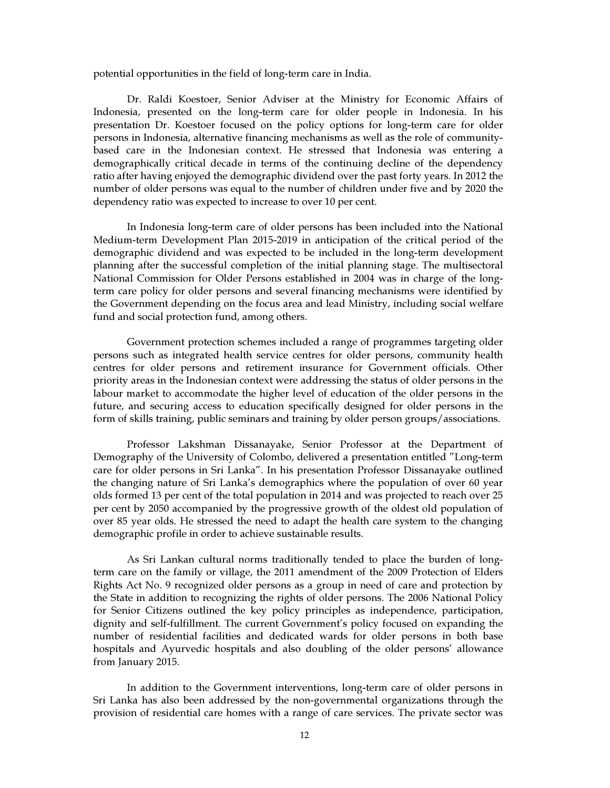potential opportunities in the field of long-term care in India.

Dr. Raldi Koestoer, Senior Adviser at the Ministry for Economic Affairs of Indonesia, presented on the long-term care for older people in Indonesia. In his presentation Dr. Koestoer focused on the policy options for long-term care for older persons in Indonesia, alternative financing mechanisms as well as the role of communitybased care in the Indonesian context. He stressed that Indonesia was entering a demographically critical decade in terms of the continuing decline of the dependency ratio after having enjoyed the demographic dividend over the past forty years. In 2012 the number of older persons was equal to the number of children under five and by 2020 the dependency ratio was expected to increase to over 10 per cent.

In Indonesia long-term care of older persons has been included into the National Medium-term Development Plan 2015-2019 in anticipation of the critical period of the demographic dividend and was expected to be included in the long-term development planning after the successful completion of the initial planning stage. The multisectoral National Commission for Older Persons established in 2004 was in charge of the longterm care policy for older persons and several financing mechanisms were identified by the Government depending on the focus area and lead Ministry, including social welfare fund and social protection fund, among others.

Government protection schemes included a range of programmes targeting older persons such as integrated health service centres for older persons, community health centres for older persons and retirement insurance for Government officials. Other priority areas in the Indonesian context were addressing the status of older persons in the labour market to accommodate the higher level of education of the older persons in the future, and securing access to education specifically designed for older persons in the form of skills training, public seminars and training by older person groups/associations.

Professor Lakshman Dissanayake, Senior Professor at the Department of Demography of the University of Colombo, delivered a presentation entitled "Long-term care for older persons in Sri Lanka". In his presentation Professor Dissanayake outlined the changing nature of Sri Lanka's demographics where the population of over 60 year olds formed 13 per cent of the total population in 2014 and was projected to reach over 25 per cent by 2050 accompanied by the progressive growth of the oldest old population of over 85 year olds. He stressed the need to adapt the health care system to the changing demographic profile in order to achieve sustainable results.

As Sri Lankan cultural norms traditionally tended to place the burden of longterm care on the family or village, the 2011 amendment of the 2009 Protection of Elders Rights Act No. 9 recognized older persons as a group in need of care and protection by the State in addition to recognizing the rights of older persons. The 2006 National Policy for Senior Citizens outlined the key policy principles as independence, participation, dignity and self-fulfillment. The current Government's policy focused on expanding the number of residential facilities and dedicated wards for older persons in both base hospitals and Ayurvedic hospitals and also doubling of the older persons' allowance from January 2015.

In addition to the Government interventions, long-term care of older persons in Sri Lanka has also been addressed by the non-governmental organizations through the provision of residential care homes with a range of care services. The private sector was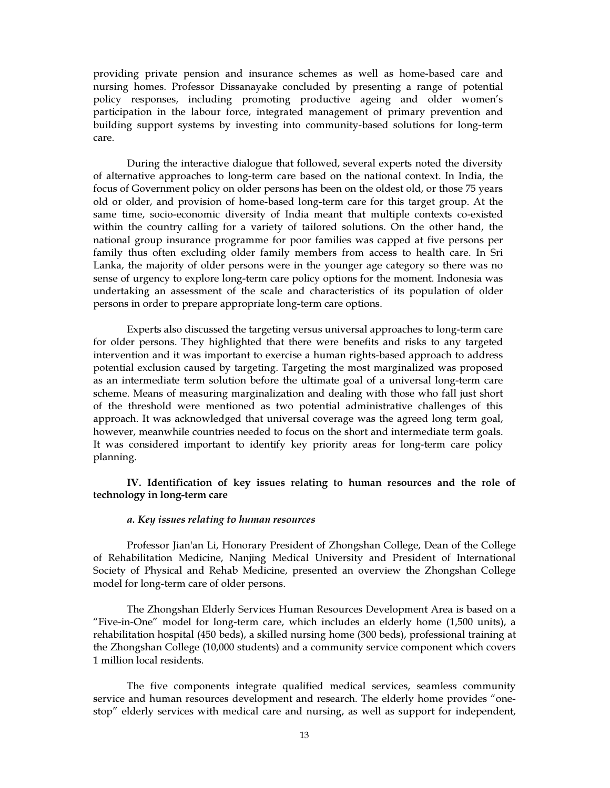providing private pension and insurance schemes as well as home-based care and nursing homes. Professor Dissanayake concluded by presenting a range of potential policy responses, including promoting productive ageing and older women's participation in the labour force, integrated management of primary prevention and building support systems by investing into community-based solutions for long-term care.

During the interactive dialogue that followed, several experts noted the diversity of alternative approaches to long-term care based on the national context. In India, the focus of Government policy on older persons has been on the oldest old, or those 75 years old or older, and provision of home-based long-term care for this target group. At the same time, socio-economic diversity of India meant that multiple contexts co-existed within the country calling for a variety of tailored solutions. On the other hand, the national group insurance programme for poor families was capped at five persons per family thus often excluding older family members from access to health care. In Sri Lanka, the majority of older persons were in the younger age category so there was no sense of urgency to explore long-term care policy options for the moment. Indonesia was undertaking an assessment of the scale and characteristics of its population of older persons in order to prepare appropriate long-term care options.

Experts also discussed the targeting versus universal approaches to long-term care for older persons. They highlighted that there were benefits and risks to any targeted intervention and it was important to exercise a human rights-based approach to address potential exclusion caused by targeting. Targeting the most marginalized was proposed as an intermediate term solution before the ultimate goal of a universal long-term care scheme. Means of measuring marginalization and dealing with those who fall just short of the threshold were mentioned as two potential administrative challenges of this approach. It was acknowledged that universal coverage was the agreed long term goal, however, meanwhile countries needed to focus on the short and intermediate term goals. It was considered important to identify key priority areas for long-term care policy planning.

IV. Identification of key issues relating to human resources and the role of technology in long-term care

#### a. Key issues relating to human resources

Professor Jian'an Li, Honorary President of Zhongshan College, Dean of the College of Rehabilitation Medicine, Nanjing Medical University and President of International Society of Physical and Rehab Medicine, presented an overview the Zhongshan College model for long-term care of older persons.

The Zhongshan Elderly Services Human Resources Development Area is based on a "Five-in-One" model for long-term care, which includes an elderly home (1,500 units), a rehabilitation hospital (450 beds), a skilled nursing home (300 beds), professional training at the Zhongshan College (10,000 students) and a community service component which covers 1 million local residents.

The five components integrate qualified medical services, seamless community service and human resources development and research. The elderly home provides "onestop" elderly services with medical care and nursing, as well as support for independent,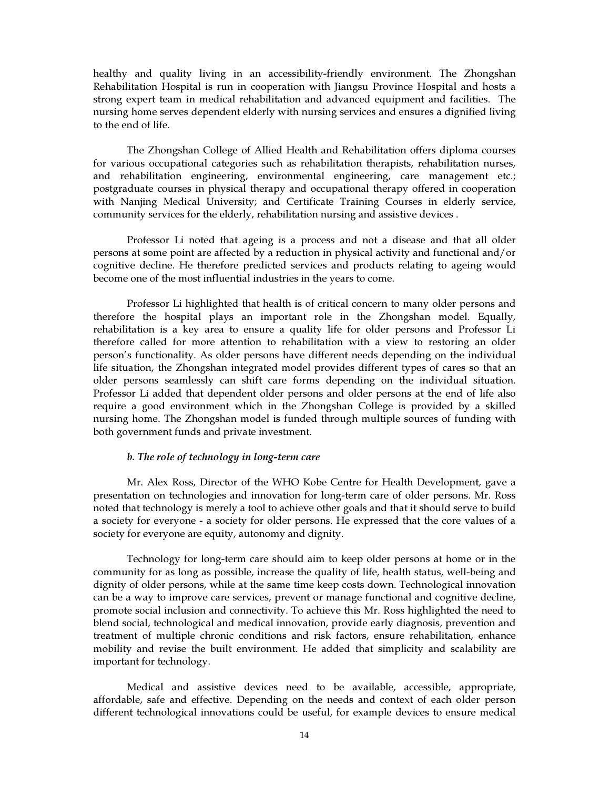healthy and quality living in an accessibility-friendly environment. The Zhongshan Rehabilitation Hospital is run in cooperation with Jiangsu Province Hospital and hosts a strong expert team in medical rehabilitation and advanced equipment and facilities. The nursing home serves dependent elderly with nursing services and ensures a dignified living to the end of life.

The Zhongshan College of Allied Health and Rehabilitation offers diploma courses for various occupational categories such as rehabilitation therapists, rehabilitation nurses, and rehabilitation engineering, environmental engineering, care management etc.; postgraduate courses in physical therapy and occupational therapy offered in cooperation with Nanjing Medical University; and Certificate Training Courses in elderly service, community services for the elderly, rehabilitation nursing and assistive devices .

Professor Li noted that ageing is a process and not a disease and that all older persons at some point are affected by a reduction in physical activity and functional and/or cognitive decline. He therefore predicted services and products relating to ageing would become one of the most influential industries in the years to come.

Professor Li highlighted that health is of critical concern to many older persons and therefore the hospital plays an important role in the Zhongshan model. Equally, rehabilitation is a key area to ensure a quality life for older persons and Professor Li therefore called for more attention to rehabilitation with a view to restoring an older person's functionality. As older persons have different needs depending on the individual life situation, the Zhongshan integrated model provides different types of cares so that an older persons seamlessly can shift care forms depending on the individual situation. Professor Li added that dependent older persons and older persons at the end of life also require a good environment which in the Zhongshan College is provided by a skilled nursing home. The Zhongshan model is funded through multiple sources of funding with both government funds and private investment.

#### b. The role of technology in long-term care

Mr. Alex Ross, Director of the WHO Kobe Centre for Health Development, gave a presentation on technologies and innovation for long-term care of older persons. Mr. Ross noted that technology is merely a tool to achieve other goals and that it should serve to build a society for everyone - a society for older persons. He expressed that the core values of a society for everyone are equity, autonomy and dignity.

Technology for long-term care should aim to keep older persons at home or in the community for as long as possible, increase the quality of life, health status, well-being and dignity of older persons, while at the same time keep costs down. Technological innovation can be a way to improve care services, prevent or manage functional and cognitive decline, promote social inclusion and connectivity. To achieve this Mr. Ross highlighted the need to blend social, technological and medical innovation, provide early diagnosis, prevention and treatment of multiple chronic conditions and risk factors, ensure rehabilitation, enhance mobility and revise the built environment. He added that simplicity and scalability are important for technology.

Medical and assistive devices need to be available, accessible, appropriate, affordable, safe and effective. Depending on the needs and context of each older person different technological innovations could be useful, for example devices to ensure medical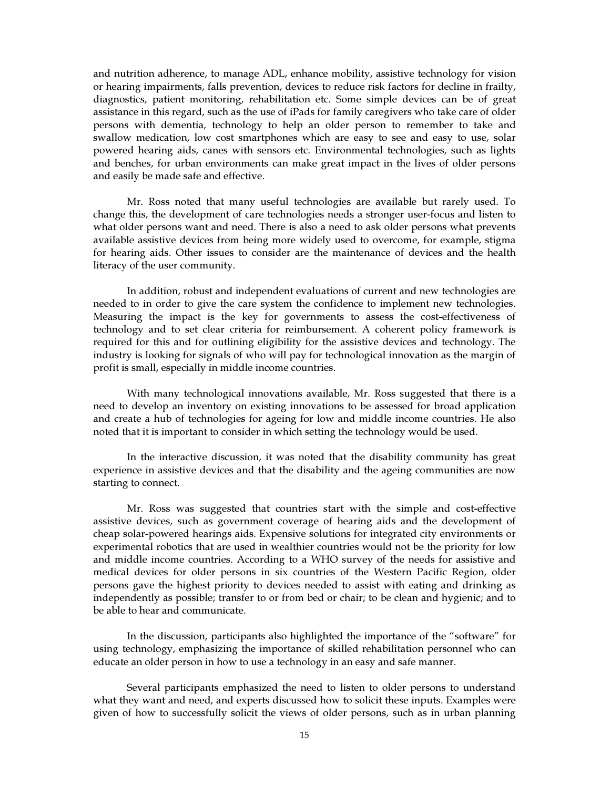and nutrition adherence, to manage ADL, enhance mobility, assistive technology for vision or hearing impairments, falls prevention, devices to reduce risk factors for decline in frailty, diagnostics, patient monitoring, rehabilitation etc. Some simple devices can be of great assistance in this regard, such as the use of iPads for family caregivers who take care of older persons with dementia, technology to help an older person to remember to take and swallow medication, low cost smartphones which are easy to see and easy to use, solar powered hearing aids, canes with sensors etc. Environmental technologies, such as lights and benches, for urban environments can make great impact in the lives of older persons and easily be made safe and effective.

Mr. Ross noted that many useful technologies are available but rarely used. To change this, the development of care technologies needs a stronger user-focus and listen to what older persons want and need. There is also a need to ask older persons what prevents available assistive devices from being more widely used to overcome, for example, stigma for hearing aids. Other issues to consider are the maintenance of devices and the health literacy of the user community.

In addition, robust and independent evaluations of current and new technologies are needed to in order to give the care system the confidence to implement new technologies. Measuring the impact is the key for governments to assess the cost-effectiveness of technology and to set clear criteria for reimbursement. A coherent policy framework is required for this and for outlining eligibility for the assistive devices and technology. The industry is looking for signals of who will pay for technological innovation as the margin of profit is small, especially in middle income countries.

With many technological innovations available, Mr. Ross suggested that there is a need to develop an inventory on existing innovations to be assessed for broad application and create a hub of technologies for ageing for low and middle income countries. He also noted that it is important to consider in which setting the technology would be used.

In the interactive discussion, it was noted that the disability community has great experience in assistive devices and that the disability and the ageing communities are now starting to connect.

Mr. Ross was suggested that countries start with the simple and cost-effective assistive devices, such as government coverage of hearing aids and the development of cheap solar-powered hearings aids. Expensive solutions for integrated city environments or experimental robotics that are used in wealthier countries would not be the priority for low and middle income countries. According to a WHO survey of the needs for assistive and medical devices for older persons in six countries of the Western Pacific Region, older persons gave the highest priority to devices needed to assist with eating and drinking as independently as possible; transfer to or from bed or chair; to be clean and hygienic; and to be able to hear and communicate.

In the discussion, participants also highlighted the importance of the "software" for using technology, emphasizing the importance of skilled rehabilitation personnel who can educate an older person in how to use a technology in an easy and safe manner.

Several participants emphasized the need to listen to older persons to understand what they want and need, and experts discussed how to solicit these inputs. Examples were given of how to successfully solicit the views of older persons, such as in urban planning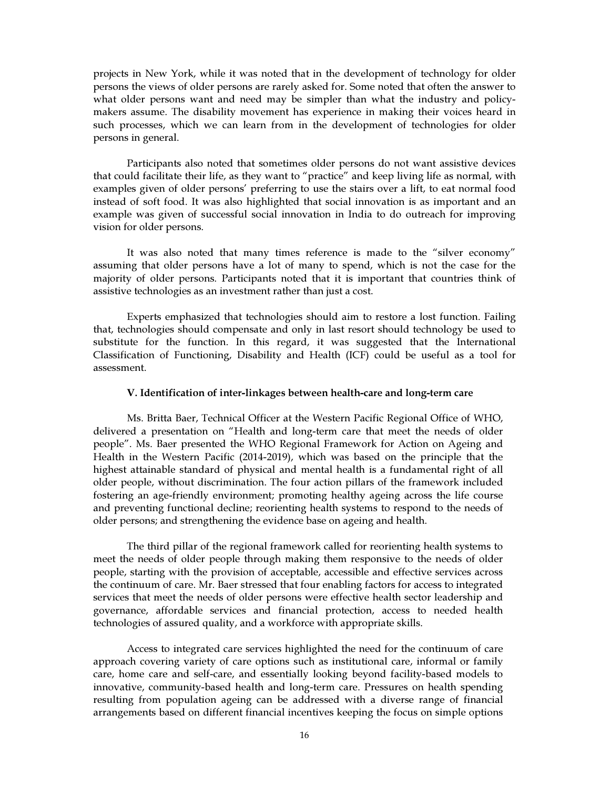projects in New York, while it was noted that in the development of technology for older persons the views of older persons are rarely asked for. Some noted that often the answer to what older persons want and need may be simpler than what the industry and policymakers assume. The disability movement has experience in making their voices heard in such processes, which we can learn from in the development of technologies for older persons in general.

Participants also noted that sometimes older persons do not want assistive devices that could facilitate their life, as they want to "practice" and keep living life as normal, with examples given of older persons' preferring to use the stairs over a lift, to eat normal food instead of soft food. It was also highlighted that social innovation is as important and an example was given of successful social innovation in India to do outreach for improving vision for older persons.

It was also noted that many times reference is made to the "silver economy" assuming that older persons have a lot of many to spend, which is not the case for the majority of older persons. Participants noted that it is important that countries think of assistive technologies as an investment rather than just a cost.

Experts emphasized that technologies should aim to restore a lost function. Failing that, technologies should compensate and only in last resort should technology be used to substitute for the function. In this regard, it was suggested that the International Classification of Functioning, Disability and Health (ICF) could be useful as a tool for assessment.

#### V. Identification of inter-linkages between health-care and long-term care

Ms. Britta Baer, Technical Officer at the Western Pacific Regional Office of WHO, delivered a presentation on "Health and long-term care that meet the needs of older people". Ms. Baer presented the WHO Regional Framework for Action on Ageing and Health in the Western Pacific (2014-2019), which was based on the principle that the highest attainable standard of physical and mental health is a fundamental right of all older people, without discrimination. The four action pillars of the framework included fostering an age-friendly environment; promoting healthy ageing across the life course and preventing functional decline; reorienting health systems to respond to the needs of older persons; and strengthening the evidence base on ageing and health.

The third pillar of the regional framework called for reorienting health systems to meet the needs of older people through making them responsive to the needs of older people, starting with the provision of acceptable, accessible and effective services across the continuum of care. Mr. Baer stressed that four enabling factors for access to integrated services that meet the needs of older persons were effective health sector leadership and governance, affordable services and financial protection, access to needed health technologies of assured quality, and a workforce with appropriate skills.

Access to integrated care services highlighted the need for the continuum of care approach covering variety of care options such as institutional care, informal or family care, home care and self-care, and essentially looking beyond facility-based models to innovative, community-based health and long-term care. Pressures on health spending resulting from population ageing can be addressed with a diverse range of financial arrangements based on different financial incentives keeping the focus on simple options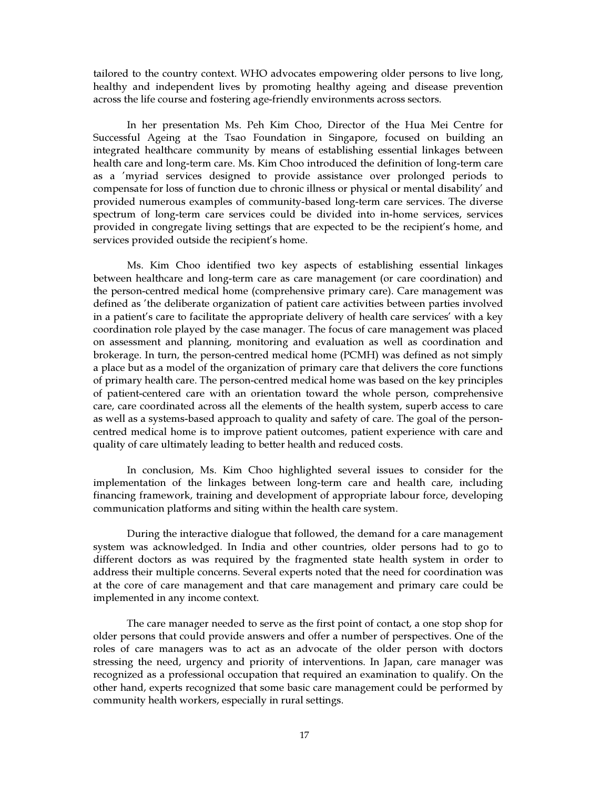tailored to the country context. WHO advocates empowering older persons to live long, healthy and independent lives by promoting healthy ageing and disease prevention across the life course and fostering age-friendly environments across sectors.

In her presentation Ms. Peh Kim Choo, Director of the Hua Mei Centre for Successful Ageing at the Tsao Foundation in Singapore, focused on building an integrated healthcare community by means of establishing essential linkages between health care and long-term care. Ms. Kim Choo introduced the definition of long-term care as a 'myriad services designed to provide assistance over prolonged periods to compensate for loss of function due to chronic illness or physical or mental disability' and provided numerous examples of community-based long-term care services. The diverse spectrum of long-term care services could be divided into in-home services, services provided in congregate living settings that are expected to be the recipient's home, and services provided outside the recipient's home.

Ms. Kim Choo identified two key aspects of establishing essential linkages between healthcare and long-term care as care management (or care coordination) and the person-centred medical home (comprehensive primary care). Care management was defined as 'the deliberate organization of patient care activities between parties involved in a patient's care to facilitate the appropriate delivery of health care services' with a key coordination role played by the case manager. The focus of care management was placed on assessment and planning, monitoring and evaluation as well as coordination and brokerage. In turn, the person-centred medical home (PCMH) was defined as not simply a place but as a model of the organization of primary care that delivers the core functions of primary health care. The person-centred medical home was based on the key principles of patient-centered care with an orientation toward the whole person, comprehensive care, care coordinated across all the elements of the health system, superb access to care as well as a systems-based approach to quality and safety of care. The goal of the personcentred medical home is to improve patient outcomes, patient experience with care and quality of care ultimately leading to better health and reduced costs.

In conclusion, Ms. Kim Choo highlighted several issues to consider for the implementation of the linkages between long-term care and health care, including financing framework, training and development of appropriate labour force, developing communication platforms and siting within the health care system.

During the interactive dialogue that followed, the demand for a care management system was acknowledged. In India and other countries, older persons had to go to different doctors as was required by the fragmented state health system in order to address their multiple concerns. Several experts noted that the need for coordination was at the core of care management and that care management and primary care could be implemented in any income context.

The care manager needed to serve as the first point of contact, a one stop shop for older persons that could provide answers and offer a number of perspectives. One of the roles of care managers was to act as an advocate of the older person with doctors stressing the need, urgency and priority of interventions. In Japan, care manager was recognized as a professional occupation that required an examination to qualify. On the other hand, experts recognized that some basic care management could be performed by community health workers, especially in rural settings.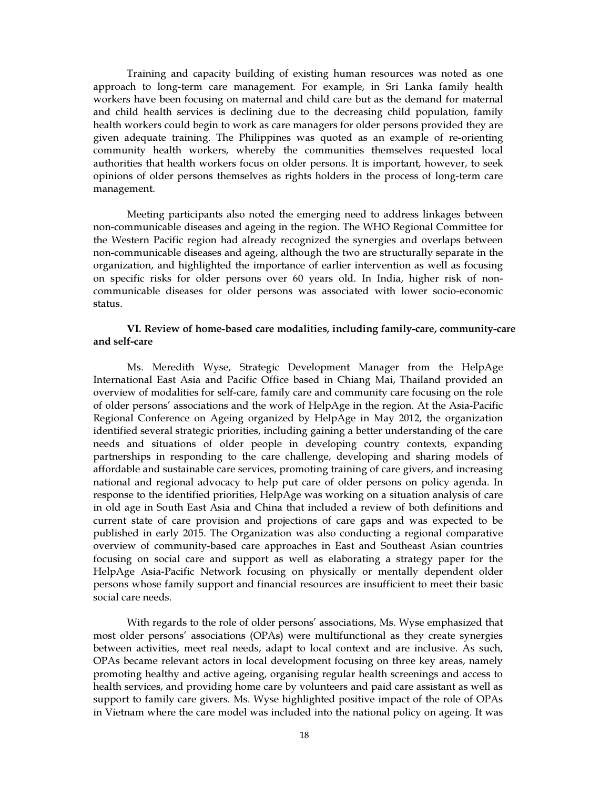Training and capacity building of existing human resources was noted as one approach to long-term care management. For example, in Sri Lanka family health workers have been focusing on maternal and child care but as the demand for maternal and child health services is declining due to the decreasing child population, family health workers could begin to work as care managers for older persons provided they are given adequate training. The Philippines was quoted as an example of re-orienting community health workers, whereby the communities themselves requested local authorities that health workers focus on older persons. It is important, however, to seek opinions of older persons themselves as rights holders in the process of long-term care management.

Meeting participants also noted the emerging need to address linkages between non-communicable diseases and ageing in the region. The WHO Regional Committee for the Western Pacific region had already recognized the synergies and overlaps between non-communicable diseases and ageing, although the two are structurally separate in the organization, and highlighted the importance of earlier intervention as well as focusing on specific risks for older persons over 60 years old. In India, higher risk of noncommunicable diseases for older persons was associated with lower socio-economic status.

### VI. Review of home-based care modalities, including family-care, community-care and self-care

Ms. Meredith Wyse, Strategic Development Manager from the HelpAge International East Asia and Pacific Office based in Chiang Mai, Thailand provided an overview of modalities for self-care, family care and community care focusing on the role of older persons' associations and the work of HelpAge in the region. At the Asia-Pacific Regional Conference on Ageing organized by HelpAge in May 2012, the organization identified several strategic priorities, including gaining a better understanding of the care needs and situations of older people in developing country contexts, expanding partnerships in responding to the care challenge, developing and sharing models of affordable and sustainable care services, promoting training of care givers, and increasing national and regional advocacy to help put care of older persons on policy agenda. In response to the identified priorities, HelpAge was working on a situation analysis of care in old age in South East Asia and China that included a review of both definitions and current state of care provision and projections of care gaps and was expected to be published in early 2015. The Organization was also conducting a regional comparative overview of community-based care approaches in East and Southeast Asian countries focusing on social care and support as well as elaborating a strategy paper for the HelpAge Asia-Pacific Network focusing on physically or mentally dependent older persons whose family support and financial resources are insufficient to meet their basic social care needs.

With regards to the role of older persons' associations, Ms. Wyse emphasized that most older persons' associations (OPAs) were multifunctional as they create synergies between activities, meet real needs, adapt to local context and are inclusive. As such, OPAs became relevant actors in local development focusing on three key areas, namely promoting healthy and active ageing, organising regular health screenings and access to health services, and providing home care by volunteers and paid care assistant as well as support to family care givers. Ms. Wyse highlighted positive impact of the role of OPAs in Vietnam where the care model was included into the national policy on ageing. It was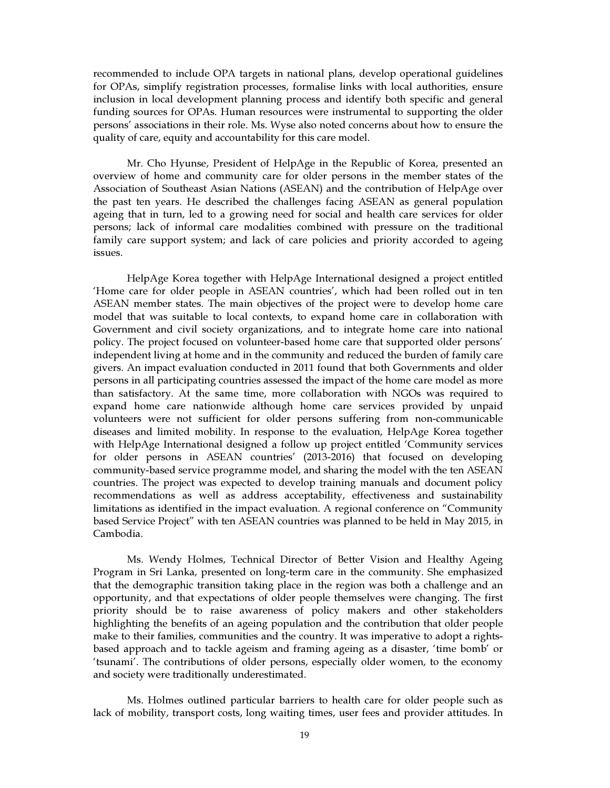recommended to include OPA targets in national plans, develop operational guidelines for OPAs, simplify registration processes, formalise links with local authorities, ensure inclusion in local development planning process and identify both specific and general funding sources for OPAs. Human resources were instrumental to supporting the older persons' associations in their role. Ms. Wyse also noted concerns about how to ensure the quality of care, equity and accountability for this care model.

Mr. Cho Hyunse, President of HelpAge in the Republic of Korea, presented an overview of home and community care for older persons in the member states of the Association of Southeast Asian Nations (ASEAN) and the contribution of HelpAge over the past ten years. He described the challenges facing ASEAN as general population ageing that in turn, led to a growing need for social and health care services for older persons; lack of informal care modalities combined with pressure on the traditional family care support system; and lack of care policies and priority accorded to ageing issues.

HelpAge Korea together with HelpAge International designed a project entitled 'Home care for older people in ASEAN countries', which had been rolled out in ten ASEAN member states. The main objectives of the project were to develop home care model that was suitable to local contexts, to expand home care in collaboration with Government and civil society organizations, and to integrate home care into national policy. The project focused on volunteer-based home care that supported older persons' independent living at home and in the community and reduced the burden of family care givers. An impact evaluation conducted in 2011 found that both Governments and older persons in all participating countries assessed the impact of the home care model as more than satisfactory. At the same time, more collaboration with NGOs was required to expand home care nationwide although home care services provided by unpaid volunteers were not sufficient for older persons suffering from non-communicable diseases and limited mobility. In response to the evaluation, HelpAge Korea together with HelpAge International designed a follow up project entitled 'Community services for older persons in ASEAN countries' (2013-2016) that focused on developing community-based service programme model, and sharing the model with the ten ASEAN countries. The project was expected to develop training manuals and document policy recommendations as well as address acceptability, effectiveness and sustainability limitations as identified in the impact evaluation. A regional conference on "Community based Service Project" with ten ASEAN countries was planned to be held in May 2015, in Cambodia.

Ms. Wendy Holmes, Technical Director of Better Vision and Healthy Ageing Program in Sri Lanka, presented on long-term care in the community. She emphasized that the demographic transition taking place in the region was both a challenge and an opportunity, and that expectations of older people themselves were changing. The first priority should be to raise awareness of policy makers and other stakeholders highlighting the benefits of an ageing population and the contribution that older people make to their families, communities and the country. It was imperative to adopt a rightsbased approach and to tackle ageism and framing ageing as a disaster, 'time bomb' or 'tsunami'. The contributions of older persons, especially older women, to the economy and society were traditionally underestimated.

Ms. Holmes outlined particular barriers to health care for older people such as lack of mobility, transport costs, long waiting times, user fees and provider attitudes. In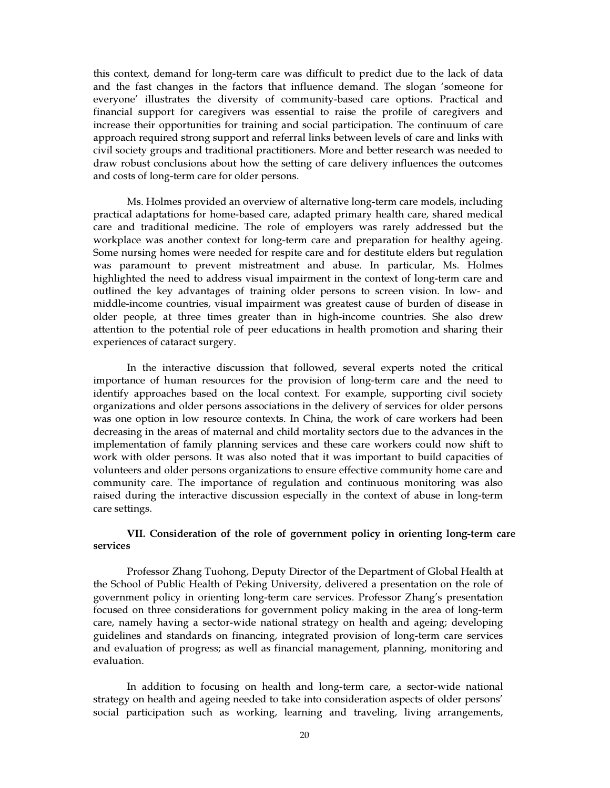this context, demand for long-term care was difficult to predict due to the lack of data and the fast changes in the factors that influence demand. The slogan 'someone for everyone' illustrates the diversity of community-based care options. Practical and financial support for caregivers was essential to raise the profile of caregivers and increase their opportunities for training and social participation. The continuum of care approach required strong support and referral links between levels of care and links with civil society groups and traditional practitioners. More and better research was needed to draw robust conclusions about how the setting of care delivery influences the outcomes and costs of long-term care for older persons.

Ms. Holmes provided an overview of alternative long-term care models, including practical adaptations for home-based care, adapted primary health care, shared medical care and traditional medicine. The role of employers was rarely addressed but the workplace was another context for long-term care and preparation for healthy ageing. Some nursing homes were needed for respite care and for destitute elders but regulation was paramount to prevent mistreatment and abuse. In particular, Ms. Holmes highlighted the need to address visual impairment in the context of long-term care and outlined the key advantages of training older persons to screen vision. In low- and middle-income countries, visual impairment was greatest cause of burden of disease in older people, at three times greater than in high-income countries. She also drew attention to the potential role of peer educations in health promotion and sharing their experiences of cataract surgery.

In the interactive discussion that followed, several experts noted the critical importance of human resources for the provision of long-term care and the need to identify approaches based on the local context. For example, supporting civil society organizations and older persons associations in the delivery of services for older persons was one option in low resource contexts. In China, the work of care workers had been decreasing in the areas of maternal and child mortality sectors due to the advances in the implementation of family planning services and these care workers could now shift to work with older persons. It was also noted that it was important to build capacities of volunteers and older persons organizations to ensure effective community home care and community care. The importance of regulation and continuous monitoring was also raised during the interactive discussion especially in the context of abuse in long-term care settings.

## VII. Consideration of the role of government policy in orienting long-term care services

Professor Zhang Tuohong, Deputy Director of the Department of Global Health at the School of Public Health of Peking University, delivered a presentation on the role of government policy in orienting long-term care services. Professor Zhang's presentation focused on three considerations for government policy making in the area of long-term care, namely having a sector-wide national strategy on health and ageing; developing guidelines and standards on financing, integrated provision of long-term care services and evaluation of progress; as well as financial management, planning, monitoring and evaluation.

In addition to focusing on health and long-term care, a sector-wide national strategy on health and ageing needed to take into consideration aspects of older persons' social participation such as working, learning and traveling, living arrangements,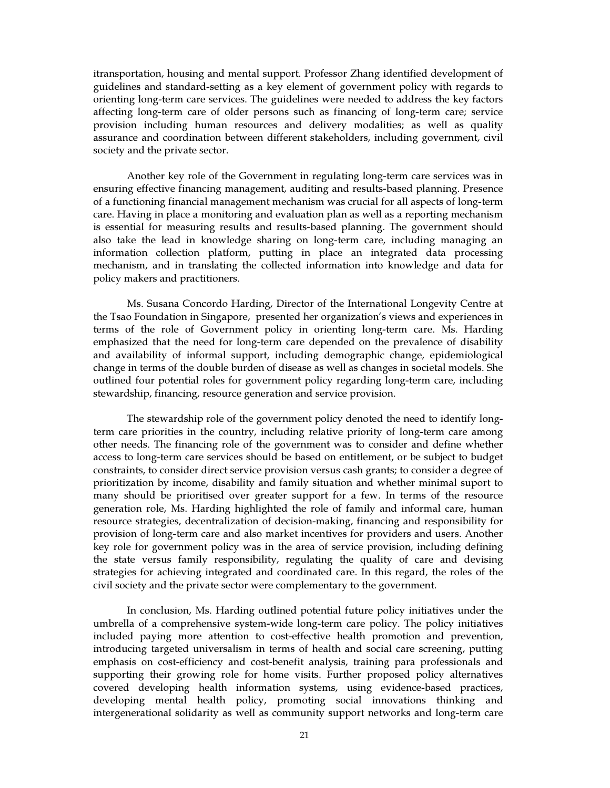itransportation, housing and mental support. Professor Zhang identified development of guidelines and standard-setting as a key element of government policy with regards to orienting long-term care services. The guidelines were needed to address the key factors affecting long-term care of older persons such as financing of long-term care; service provision including human resources and delivery modalities; as well as quality assurance and coordination between different stakeholders, including government, civil society and the private sector.

Another key role of the Government in regulating long-term care services was in ensuring effective financing management, auditing and results-based planning. Presence of a functioning financial management mechanism was crucial for all aspects of long-term care. Having in place a monitoring and evaluation plan as well as a reporting mechanism is essential for measuring results and results-based planning. The government should also take the lead in knowledge sharing on long-term care, including managing an information collection platform, putting in place an integrated data processing mechanism, and in translating the collected information into knowledge and data for policy makers and practitioners.

Ms. Susana Concordo Harding, Director of the International Longevity Centre at the Tsao Foundation in Singapore, presented her organization's views and experiences in terms of the role of Government policy in orienting long-term care. Ms. Harding emphasized that the need for long-term care depended on the prevalence of disability and availability of informal support, including demographic change, epidemiological change in terms of the double burden of disease as well as changes in societal models. She outlined four potential roles for government policy regarding long-term care, including stewardship, financing, resource generation and service provision.

The stewardship role of the government policy denoted the need to identify longterm care priorities in the country, including relative priority of long-term care among other needs. The financing role of the government was to consider and define whether access to long-term care services should be based on entitlement, or be subject to budget constraints, to consider direct service provision versus cash grants; to consider a degree of prioritization by income, disability and family situation and whether minimal suport to many should be prioritised over greater support for a few. In terms of the resource generation role, Ms. Harding highlighted the role of family and informal care, human resource strategies, decentralization of decision-making, financing and responsibility for provision of long-term care and also market incentives for providers and users. Another key role for government policy was in the area of service provision, including defining the state versus family responsibility, regulating the quality of care and devising strategies for achieving integrated and coordinated care. In this regard, the roles of the civil society and the private sector were complementary to the government.

In conclusion, Ms. Harding outlined potential future policy initiatives under the umbrella of a comprehensive system-wide long-term care policy. The policy initiatives included paying more attention to cost-effective health promotion and prevention, introducing targeted universalism in terms of health and social care screening, putting emphasis on cost-efficiency and cost-benefit analysis, training para professionals and supporting their growing role for home visits. Further proposed policy alternatives covered developing health information systems, using evidence-based practices, developing mental health policy, promoting social innovations thinking and intergenerational solidarity as well as community support networks and long-term care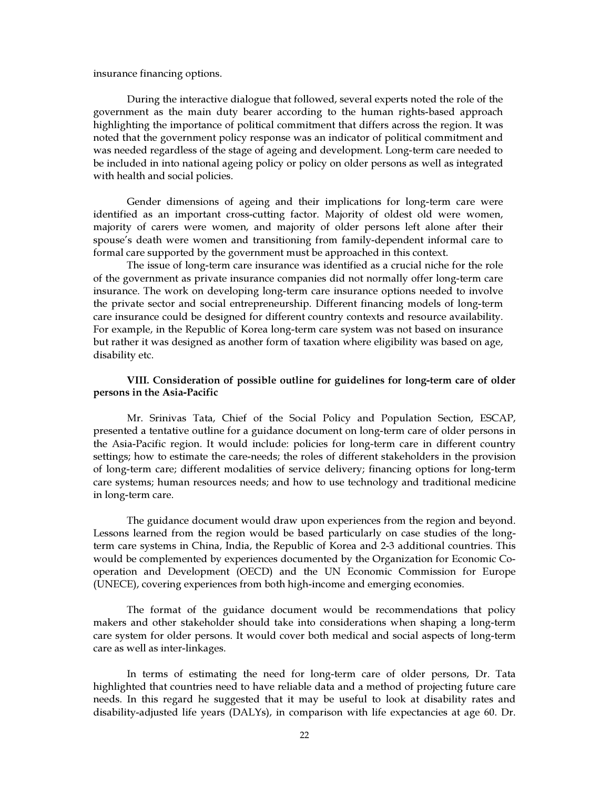#### insurance financing options.

During the interactive dialogue that followed, several experts noted the role of the government as the main duty bearer according to the human rights-based approach highlighting the importance of political commitment that differs across the region. It was noted that the government policy response was an indicator of political commitment and was needed regardless of the stage of ageing and development. Long-term care needed to be included in into national ageing policy or policy on older persons as well as integrated with health and social policies.

Gender dimensions of ageing and their implications for long-term care were identified as an important cross-cutting factor. Majority of oldest old were women, majority of carers were women, and majority of older persons left alone after their spouse's death were women and transitioning from family-dependent informal care to formal care supported by the government must be approached in this context.

The issue of long-term care insurance was identified as a crucial niche for the role of the government as private insurance companies did not normally offer long-term care insurance. The work on developing long-term care insurance options needed to involve the private sector and social entrepreneurship. Different financing models of long-term care insurance could be designed for different country contexts and resource availability. For example, in the Republic of Korea long-term care system was not based on insurance but rather it was designed as another form of taxation where eligibility was based on age, disability etc.

## VIII. Consideration of possible outline for guidelines for long-term care of older persons in the Asia-Pacific

Mr. Srinivas Tata, Chief of the Social Policy and Population Section, ESCAP, presented a tentative outline for a guidance document on long-term care of older persons in the Asia-Pacific region. It would include: policies for long-term care in different country settings; how to estimate the care-needs; the roles of different stakeholders in the provision of long-term care; different modalities of service delivery; financing options for long-term care systems; human resources needs; and how to use technology and traditional medicine in long-term care.

The guidance document would draw upon experiences from the region and beyond. Lessons learned from the region would be based particularly on case studies of the longterm care systems in China, India, the Republic of Korea and 2-3 additional countries. This would be complemented by experiences documented by the Organization for Economic Cooperation and Development (OECD) and the UN Economic Commission for Europe (UNECE), covering experiences from both high-income and emerging economies.

The format of the guidance document would be recommendations that policy makers and other stakeholder should take into considerations when shaping a long-term care system for older persons. It would cover both medical and social aspects of long-term care as well as inter-linkages.

In terms of estimating the need for long-term care of older persons, Dr. Tata highlighted that countries need to have reliable data and a method of projecting future care needs. In this regard he suggested that it may be useful to look at disability rates and disability-adjusted life years (DALYs), in comparison with life expectancies at age 60. Dr.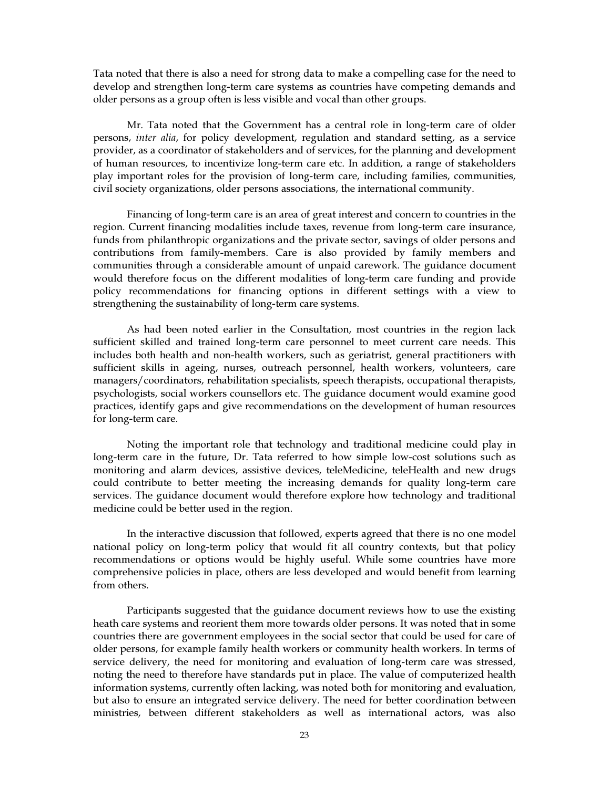Tata noted that there is also a need for strong data to make a compelling case for the need to develop and strengthen long-term care systems as countries have competing demands and older persons as a group often is less visible and vocal than other groups.

Mr. Tata noted that the Government has a central role in long-term care of older persons, *inter alia*, for policy development, regulation and standard setting, as a service provider, as a coordinator of stakeholders and of services, for the planning and development of human resources, to incentivize long-term care etc. In addition, a range of stakeholders play important roles for the provision of long-term care, including families, communities, civil society organizations, older persons associations, the international community.

Financing of long-term care is an area of great interest and concern to countries in the region. Current financing modalities include taxes, revenue from long-term care insurance, funds from philanthropic organizations and the private sector, savings of older persons and contributions from family-members. Care is also provided by family members and communities through a considerable amount of unpaid carework. The guidance document would therefore focus on the different modalities of long-term care funding and provide policy recommendations for financing options in different settings with a view to strengthening the sustainability of long-term care systems.

As had been noted earlier in the Consultation, most countries in the region lack sufficient skilled and trained long-term care personnel to meet current care needs. This includes both health and non-health workers, such as geriatrist, general practitioners with sufficient skills in ageing, nurses, outreach personnel, health workers, volunteers, care managers/coordinators, rehabilitation specialists, speech therapists, occupational therapists, psychologists, social workers counsellors etc. The guidance document would examine good practices, identify gaps and give recommendations on the development of human resources for long-term care.

Noting the important role that technology and traditional medicine could play in long-term care in the future, Dr. Tata referred to how simple low-cost solutions such as monitoring and alarm devices, assistive devices, teleMedicine, teleHealth and new drugs could contribute to better meeting the increasing demands for quality long-term care services. The guidance document would therefore explore how technology and traditional medicine could be better used in the region.

In the interactive discussion that followed, experts agreed that there is no one model national policy on long-term policy that would fit all country contexts, but that policy recommendations or options would be highly useful. While some countries have more comprehensive policies in place, others are less developed and would benefit from learning from others.

Participants suggested that the guidance document reviews how to use the existing heath care systems and reorient them more towards older persons. It was noted that in some countries there are government employees in the social sector that could be used for care of older persons, for example family health workers or community health workers. In terms of service delivery, the need for monitoring and evaluation of long-term care was stressed, noting the need to therefore have standards put in place. The value of computerized health information systems, currently often lacking, was noted both for monitoring and evaluation, but also to ensure an integrated service delivery. The need for better coordination between ministries, between different stakeholders as well as international actors, was also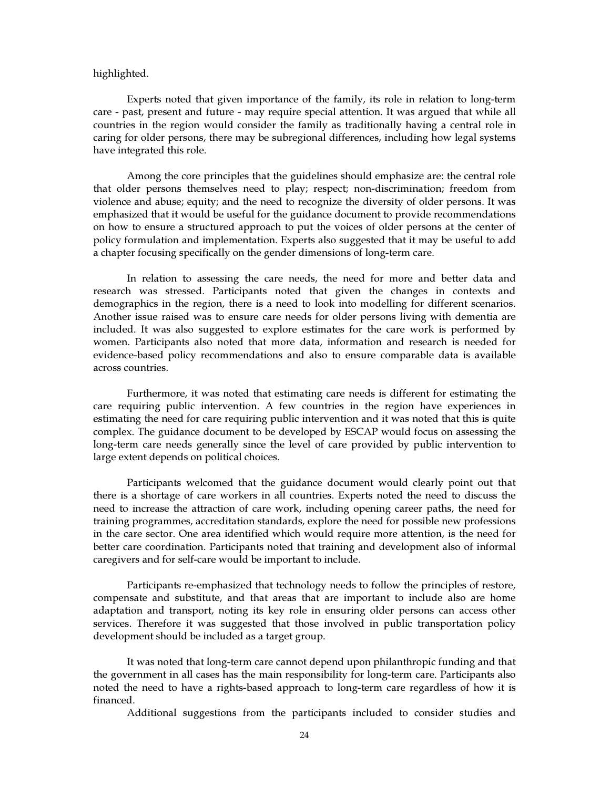#### highlighted.

Experts noted that given importance of the family, its role in relation to long-term care - past, present and future - may require special attention. It was argued that while all countries in the region would consider the family as traditionally having a central role in caring for older persons, there may be subregional differences, including how legal systems have integrated this role.

Among the core principles that the guidelines should emphasize are: the central role that older persons themselves need to play; respect; non-discrimination; freedom from violence and abuse; equity; and the need to recognize the diversity of older persons. It was emphasized that it would be useful for the guidance document to provide recommendations on how to ensure a structured approach to put the voices of older persons at the center of policy formulation and implementation. Experts also suggested that it may be useful to add a chapter focusing specifically on the gender dimensions of long-term care.

In relation to assessing the care needs, the need for more and better data and research was stressed. Participants noted that given the changes in contexts and demographics in the region, there is a need to look into modelling for different scenarios. Another issue raised was to ensure care needs for older persons living with dementia are included. It was also suggested to explore estimates for the care work is performed by women. Participants also noted that more data, information and research is needed for evidence-based policy recommendations and also to ensure comparable data is available across countries.

Furthermore, it was noted that estimating care needs is different for estimating the care requiring public intervention. A few countries in the region have experiences in estimating the need for care requiring public intervention and it was noted that this is quite complex. The guidance document to be developed by ESCAP would focus on assessing the long-term care needs generally since the level of care provided by public intervention to large extent depends on political choices.

Participants welcomed that the guidance document would clearly point out that there is a shortage of care workers in all countries. Experts noted the need to discuss the need to increase the attraction of care work, including opening career paths, the need for training programmes, accreditation standards, explore the need for possible new professions in the care sector. One area identified which would require more attention, is the need for better care coordination. Participants noted that training and development also of informal caregivers and for self-care would be important to include.

Participants re-emphasized that technology needs to follow the principles of restore, compensate and substitute, and that areas that are important to include also are home adaptation and transport, noting its key role in ensuring older persons can access other services. Therefore it was suggested that those involved in public transportation policy development should be included as a target group.

It was noted that long-term care cannot depend upon philanthropic funding and that the government in all cases has the main responsibility for long-term care. Participants also noted the need to have a rights-based approach to long-term care regardless of how it is financed.

Additional suggestions from the participants included to consider studies and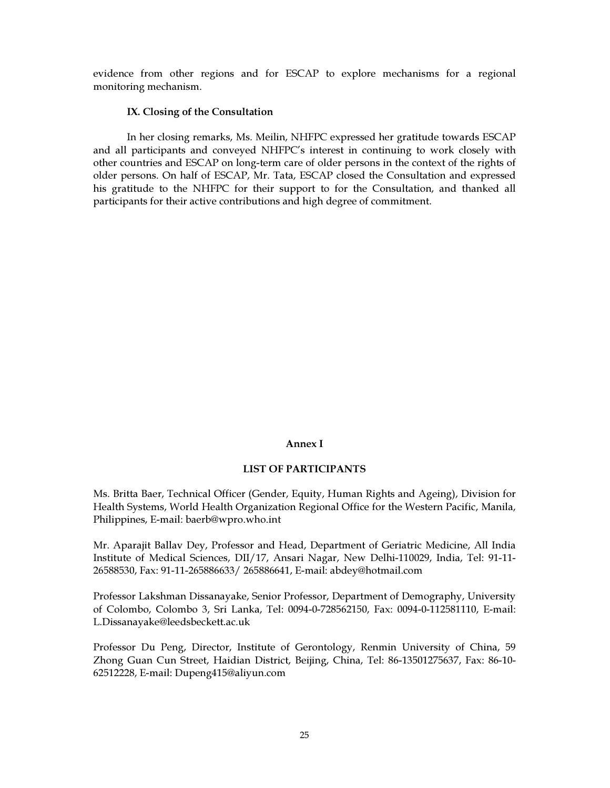evidence from other regions and for ESCAP to explore mechanisms for a regional monitoring mechanism.

### IX. Closing of the Consultation

In her closing remarks, Ms. Meilin, NHFPC expressed her gratitude towards ESCAP and all participants and conveyed NHFPC's interest in continuing to work closely with other countries and ESCAP on long-term care of older persons in the context of the rights of older persons. On half of ESCAP, Mr. Tata, ESCAP closed the Consultation and expressed his gratitude to the NHFPC for their support to for the Consultation, and thanked all participants for their active contributions and high degree of commitment.

#### Annex I

#### LIST OF PARTICIPANTS

Ms. Britta Baer, Technical Officer (Gender, Equity, Human Rights and Ageing), Division for Health Systems, World Health Organization Regional Office for the Western Pacific, Manila, Philippines, E-mail: baerb@wpro.who.int

Mr. Aparajit Ballav Dey, Professor and Head, Department of Geriatric Medicine, All India Institute of Medical Sciences, DII/17, Ansari Nagar, New Delhi-110029, India, Tel: 91-11- 26588530, Fax: 91-11-265886633/ 265886641, E-mail: abdey@hotmail.com

Professor Lakshman Dissanayake, Senior Professor, Department of Demography, University of Colombo, Colombo 3, Sri Lanka, Tel: 0094-0-728562150, Fax: 0094-0-112581110, E-mail: L.Dissanayake@leedsbeckett.ac.uk

Professor Du Peng, Director, Institute of Gerontology, Renmin University of China, 59 Zhong Guan Cun Street, Haidian District, Beijing, China, Tel: 86-13501275637, Fax: 86-10- 62512228, E-mail: Dupeng415@aliyun.com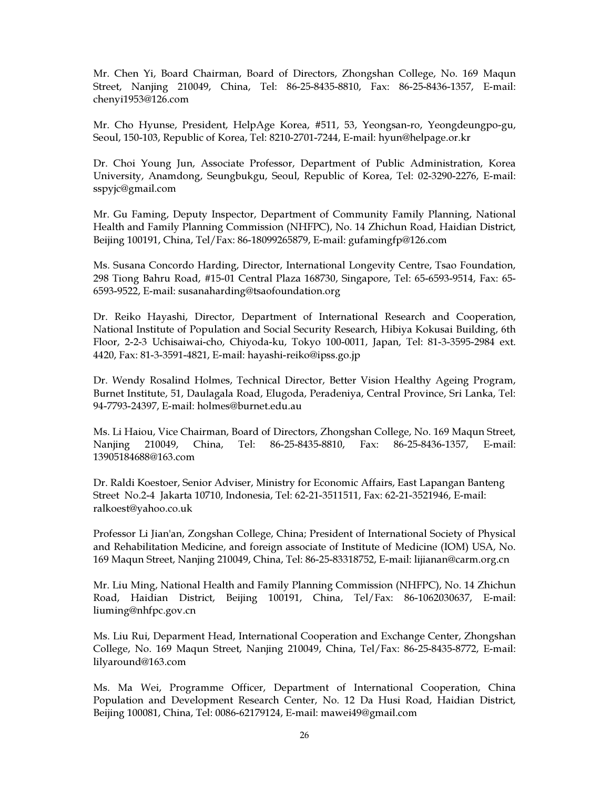Mr. Chen Yi, Board Chairman, Board of Directors, Zhongshan College, No. 169 Maqun Street, Nanjing 210049, China, Tel: 86-25-8435-8810, Fax: 86-25-8436-1357, E-mail: chenyi1953@126.com

Mr. Cho Hyunse, President, HelpAge Korea, #511, 53, Yeongsan-ro, Yeongdeungpo-gu, Seoul, 150-103, Republic of Korea, Tel: 8210-2701-7244, E-mail: hyun@helpage.or.kr

Dr. Choi Young Jun, Associate Professor, Department of Public Administration, Korea University, Anamdong, Seungbukgu, Seoul, Republic of Korea, Tel: 02-3290-2276, E-mail: sspyjc@gmail.com

Mr. Gu Faming, Deputy Inspector, Department of Community Family Planning, National Health and Family Planning Commission (NHFPC), No. 14 Zhichun Road, Haidian District, Beijing 100191, China, Tel/Fax: 86-18099265879, E-mail: gufamingfp@126.com

Ms. Susana Concordo Harding, Director, International Longevity Centre, Tsao Foundation, 298 Tiong Bahru Road, #15-01 Central Plaza 168730, Singapore, Tel: 65-6593-9514, Fax: 65- 6593-9522, E-mail: susanaharding@tsaofoundation.org

Dr. Reiko Hayashi, Director, Department of International Research and Cooperation, National Institute of Population and Social Security Research, Hibiya Kokusai Building, 6th Floor, 2-2-3 Uchisaiwai-cho, Chiyoda-ku, Tokyo 100-0011, Japan, Tel: 81-3-3595-2984 ext. 4420, Fax: 81-3-3591-4821, E-mail: hayashi-reiko@ipss.go.jp

Dr. Wendy Rosalind Holmes, Technical Director, Better Vision Healthy Ageing Program, Burnet Institute, 51, Daulagala Road, Elugoda, Peradeniya, Central Province, Sri Lanka, Tel: 94-7793-24397, E-mail: holmes@burnet.edu.au

Ms. Li Haiou, Vice Chairman, Board of Directors, Zhongshan College, No. 169 Maqun Street, Nanjing 210049, China, Tel: 86-25-8435-8810, Fax: 86-25-8436-1357, E-mail: 13905184688@163.com

Dr. Raldi Koestoer, Senior Adviser, Ministry for Economic Affairs, East Lapangan Banteng Street No.2-4 Jakarta 10710, Indonesia, Tel: 62-21-3511511, Fax: 62-21-3521946, E-mail: ralkoest@yahoo.co.uk

Professor Li Jian'an, Zongshan College, China; President of International Society of Physical and Rehabilitation Medicine, and foreign associate of Institute of Medicine (IOM) USA, No. 169 Maqun Street, Nanjing 210049, China, Tel: 86-25-83318752, E-mail: lijianan@carm.org.cn

Mr. Liu Ming, National Health and Family Planning Commission (NHFPC), No. 14 Zhichun Road, Haidian District, Beijing 100191, China, Tel/Fax: 86-1062030637, E-mail: liuming@nhfpc.gov.cn

Ms. Liu Rui, Deparment Head, International Cooperation and Exchange Center, Zhongshan College, No. 169 Maqun Street, Nanjing 210049, China, Tel/Fax: 86-25-8435-8772, E-mail: lilyaround@163.com

Ms. Ma Wei, Programme Officer, Department of International Cooperation, China Population and Development Research Center, No. 12 Da Husi Road, Haidian District, Beijing 100081, China, Tel: 0086-62179124, E-mail: mawei49@gmail.com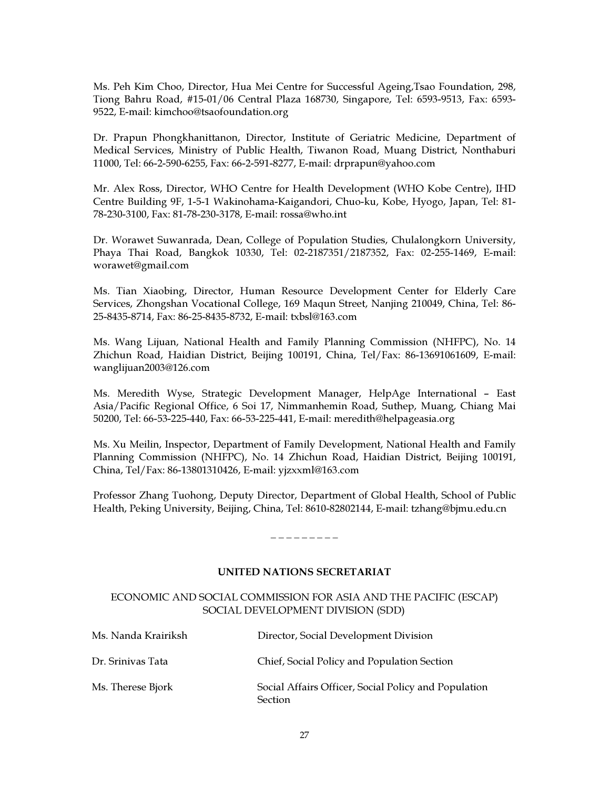Ms. Peh Kim Choo, Director, Hua Mei Centre for Successful Ageing,Tsao Foundation, 298, Tiong Bahru Road, #15-01/06 Central Plaza 168730, Singapore, Tel: 6593-9513, Fax: 6593- 9522, E-mail: kimchoo@tsaofoundation.org

Dr. Prapun Phongkhanittanon, Director, Institute of Geriatric Medicine, Department of Medical Services, Ministry of Public Health, Tiwanon Road, Muang District, Nonthaburi 11000, Tel: 66-2-590-6255, Fax: 66-2-591-8277, E-mail: drprapun@yahoo.com

Mr. Alex Ross, Director, WHO Centre for Health Development (WHO Kobe Centre), IHD Centre Building 9F, 1-5-1 Wakinohama-Kaigandori, Chuo-ku, Kobe, Hyogo, Japan, Tel: 81- 78-230-3100, Fax: 81-78-230-3178, E-mail: rossa@who.int

Dr. Worawet Suwanrada, Dean, College of Population Studies, Chulalongkorn University, Phaya Thai Road, Bangkok 10330, Tel: 02-2187351/2187352, Fax: 02-255-1469, E-mail: worawet@gmail.com

Ms. Tian Xiaobing, Director, Human Resource Development Center for Elderly Care Services, Zhongshan Vocational College, 169 Maqun Street, Nanjing 210049, China, Tel: 86- 25-8435-8714, Fax: 86-25-8435-8732, E-mail: txbsl@163.com

Ms. Wang Lijuan, National Health and Family Planning Commission (NHFPC), No. 14 Zhichun Road, Haidian District, Beijing 100191, China, Tel/Fax: 86-13691061609, E-mail: wanglijuan2003@126.com

Ms. Meredith Wyse, Strategic Development Manager, HelpAge International – East Asia/Pacific Regional Office, 6 Soi 17, Nimmanhemin Road, Suthep, Muang, Chiang Mai 50200, Tel: 66-53-225-440, Fax: 66-53-225-441, E-mail: meredith@helpageasia.org

Ms. Xu Meilin, Inspector, Department of Family Development, National Health and Family Planning Commission (NHFPC), No. 14 Zhichun Road, Haidian District, Beijing 100191, China, Tel/Fax: 86-13801310426, E-mail: yjzxxml@163.com

Professor Zhang Tuohong, Deputy Director, Department of Global Health, School of Public Health, Peking University, Beijing, China, Tel: 8610-82802144, E-mail: tzhang@bjmu.edu.cn

### $-$

## UNITED NATIONS SECRETARIAT

## ECONOMIC AND SOCIAL COMMISSION FOR ASIA AND THE PACIFIC (ESCAP) SOCIAL DEVELOPMENT DIVISION (SDD)

| Ms. Nanda Krairiksh | Director, Social Development Division                                  |
|---------------------|------------------------------------------------------------------------|
| Dr. Srinivas Tata   | Chief, Social Policy and Population Section                            |
| Ms. Therese Bjork   | Social Affairs Officer, Social Policy and Population<br><b>Section</b> |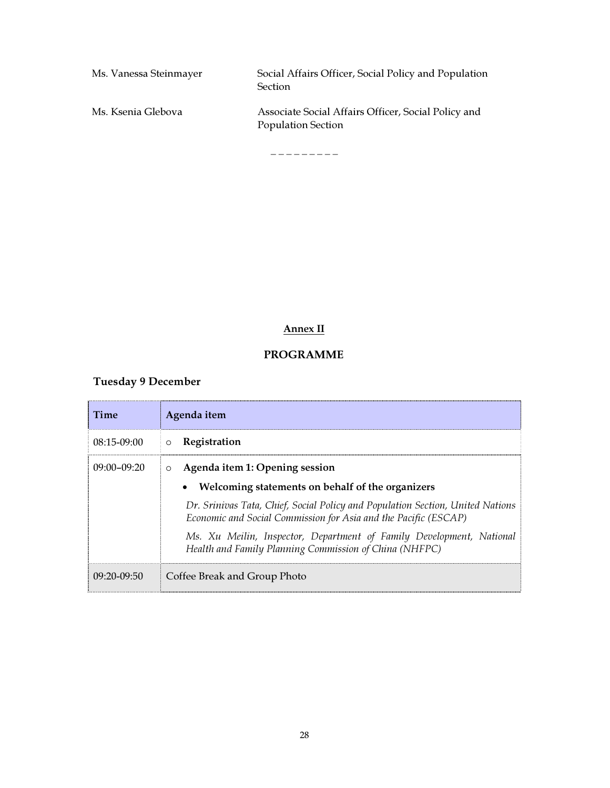| Ms. Vanessa Steinmayer | Social Affairs Officer, Social Policy and Population<br><b>Section</b>           |
|------------------------|----------------------------------------------------------------------------------|
| Ms. Ksenia Glebova     | Associate Social Affairs Officer, Social Policy and<br><b>Population Section</b> |

\_ \_ \_ \_ \_ \_ \_ \_ \_

## Annex II

## PROGRAMME

## Tuesday 9 December

| Time            | Agenda item                                                                                                                                       |
|-----------------|---------------------------------------------------------------------------------------------------------------------------------------------------|
| $08:15-09:00$   | <b>O</b> Registration                                                                                                                             |
| $09:00 - 09:20$ | Agenda item 1: Opening session<br>$\circ$                                                                                                         |
|                 | • Welcoming statements on behalf of the organizers                                                                                                |
|                 | Dr. Srinivas Tata, Chief, Social Policy and Population Section, United Nations<br>Economic and Social Commission for Asia and the Pacific (ESCAP) |
|                 | Ms. Xu Meilin, Inspector, Department of Family Development, National<br>Health and Family Planning Commission of China (NHFPC)                    |
| $09:20-09:50$   | Coffee Break and Group Photo                                                                                                                      |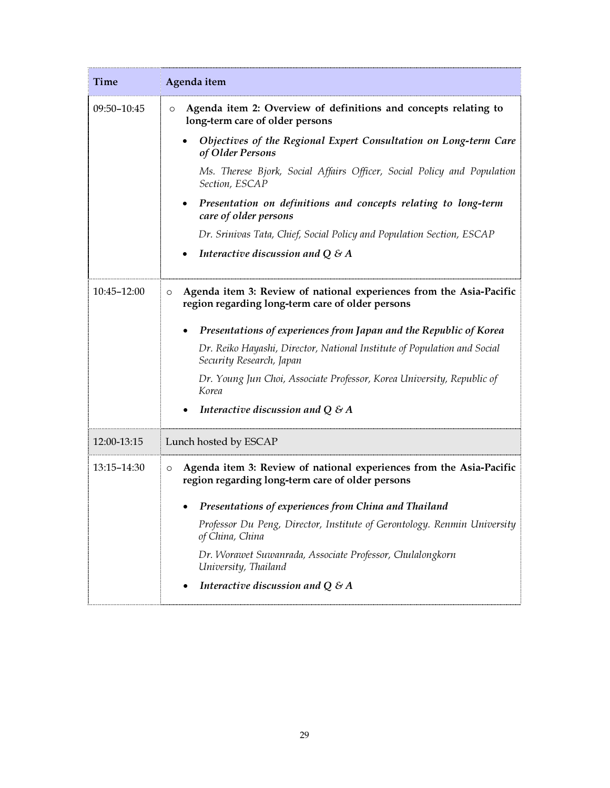| Time        | Agenda item                                                                                                                        |
|-------------|------------------------------------------------------------------------------------------------------------------------------------|
| 09:50-10:45 | Agenda item 2: Overview of definitions and concepts relating to<br>$\circ$<br>long-term care of older persons                      |
|             | Objectives of the Regional Expert Consultation on Long-term Care<br>of Older Persons                                               |
|             | Ms. Therese Bjork, Social Affairs Officer, Social Policy and Population<br>Section, ESCAP                                          |
|             | Presentation on definitions and concepts relating to long-term<br>$\bullet$<br>care of older persons                               |
|             | Dr. Srinivas Tata, Chief, Social Policy and Population Section, ESCAP                                                              |
|             | Interactive discussion and $Q \& A$                                                                                                |
| 10:45-12:00 | Agenda item 3: Review of national experiences from the Asia-Pacific<br>$\circ$<br>region regarding long-term care of older persons |
|             | Presentations of experiences from Japan and the Republic of Korea                                                                  |
|             | Dr. Reiko Hayashi, Director, National Institute of Population and Social<br>Security Research, Japan                               |
|             | Dr. Young Jun Choi, Associate Professor, Korea University, Republic of<br>Korea                                                    |
|             | Interactive discussion and $Q \& A$                                                                                                |
| 12:00-13:15 | Lunch hosted by ESCAP                                                                                                              |
| 13:15-14:30 | Agenda item 3: Review of national experiences from the Asia-Pacific<br>$\circ$<br>region regarding long-term care of older persons |
|             | Presentations of experiences from China and Thailand                                                                               |
|             | Professor Du Peng, Director, Institute of Gerontology. Renmin University<br>of China, China                                        |
|             | Dr. Worawet Suwanrada, Associate Professor, Chulalongkorn<br>University, Thailand                                                  |
|             | Interactive discussion and $Q \& A$                                                                                                |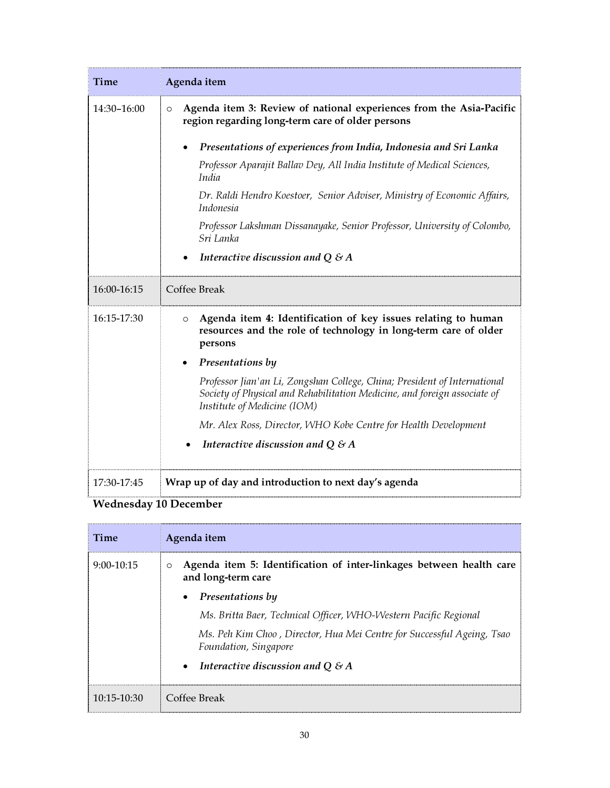| <b>Time</b> | Agenda item                                                                                                                                                                                                                                                                                                                                                                                                                                                                   |
|-------------|-------------------------------------------------------------------------------------------------------------------------------------------------------------------------------------------------------------------------------------------------------------------------------------------------------------------------------------------------------------------------------------------------------------------------------------------------------------------------------|
| 14:30-16:00 | Agenda item 3: Review of national experiences from the Asia-Pacific<br>$\circ$<br>region regarding long-term care of older persons<br>Presentations of experiences from India, Indonesia and Sri Lanka<br>Professor Aparajit Ballav Dey, All India Institute of Medical Sciences,<br>India<br>Dr. Raldi Hendro Koestoer, Senior Adviser, Ministry of Economic Affairs,<br>Indonesia<br>Professor Lakshman Dissanayake, Senior Professor, University of Colombo,<br>Sri Lanka  |
|             | Interactive discussion and $Q \& A$<br>$\bullet$                                                                                                                                                                                                                                                                                                                                                                                                                              |
| 16:00-16:15 | Coffee Break                                                                                                                                                                                                                                                                                                                                                                                                                                                                  |
| 16:15-17:30 | Agenda item 4: Identification of key issues relating to human<br>$\circ$<br>resources and the role of technology in long-term care of older<br>persons<br>Presentations by<br>Professor Jian'an Li, Zongshan College, China; President of International<br>Society of Physical and Rehabilitation Medicine, and foreign associate of<br>Institute of Medicine (IOM)<br>Mr. Alex Ross, Director, WHO Kobe Centre for Health Development<br>Interactive discussion and $Q \& A$ |
| 17:30-17:45 | Wrap up of day and introduction to next day's agenda                                                                                                                                                                                                                                                                                                                                                                                                                          |

## Wednesday 10 December

| Time            | Agenda item                                                                                          |
|-----------------|------------------------------------------------------------------------------------------------------|
| $9:00-10:15$    | Agenda item 5: Identification of inter-linkages between health care<br>$\circ$<br>and long-term care |
|                 | Presentations by<br>$\bullet$                                                                        |
|                 | Ms. Britta Baer, Technical Officer, WHO-Western Pacific Regional                                     |
|                 | Ms. Peh Kim Choo, Director, Hua Mei Centre for Successful Ageing, Tsao<br>Foundation, Singapore      |
|                 | Interactive discussion and $Q \& A$<br>$\bullet$                                                     |
| $10:15 - 10:30$ | Coffee Break                                                                                         |